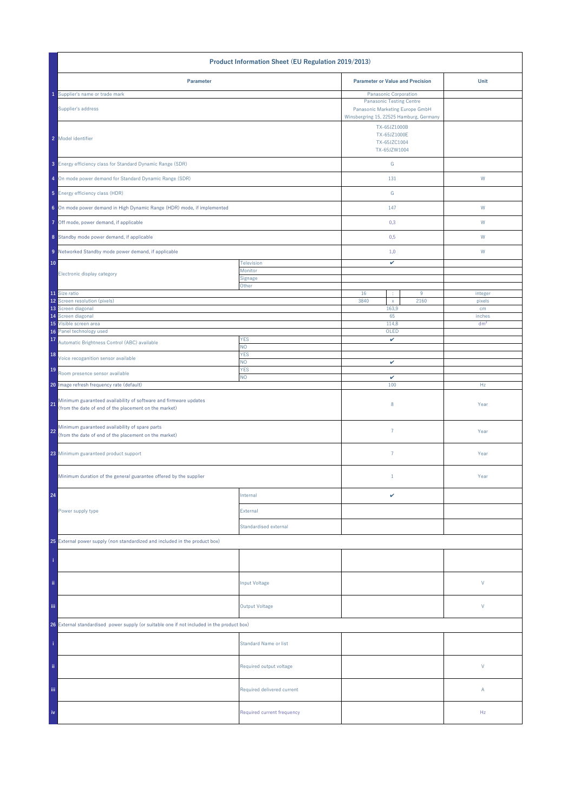| Product Information Sheet (EU Regulation 2019/2013)                                                                             |                                                                                                               |                                                              |   |                 |
|---------------------------------------------------------------------------------------------------------------------------------|---------------------------------------------------------------------------------------------------------------|--------------------------------------------------------------|---|-----------------|
| Parameter                                                                                                                       |                                                                                                               | <b>Parameter or Value and Precision</b>                      |   | Unit            |
| Supplier's name or trade mark                                                                                                   |                                                                                                               | Panasonic Corporation                                        |   |                 |
| Supplier's address                                                                                                              | <b>Panasonic Testing Centre</b><br>Panasonic Marketing Europe GmbH<br>Winsbergring 15, 22525 Hamburg, Germany |                                                              |   |                 |
| 2 Model identifier                                                                                                              |                                                                                                               | TX-65JZ1000B<br>TX-65JZ1000E<br>TX-65JZC1004<br>TX-65JZW1004 |   |                 |
| 3 Energy efficiency class for Standard Dynamic Range (SDR)                                                                      |                                                                                                               | ${\mathsf G}$                                                |   |                 |
| 4 On mode power demand for Standard Dynamic Range (SDR)                                                                         |                                                                                                               | 131                                                          |   | ${\sf W}$       |
| 5 Energy efficiency class (HDR)                                                                                                 |                                                                                                               | ${\mathsf G}$                                                |   |                 |
| 6 On mode power demand in High Dynamic Range (HDR) mode, if implemented                                                         |                                                                                                               | 147                                                          |   | W               |
| 7 Off mode, power demand, if applicable                                                                                         |                                                                                                               | 0,3                                                          |   | W               |
| 8 Standby mode power demand, if applicable                                                                                      |                                                                                                               | 0,5                                                          |   | W               |
| 9 Networked Standby mode power demand, if applicable                                                                            |                                                                                                               | 1,0                                                          |   | W               |
| 10                                                                                                                              | Television<br>Monitor                                                                                         | v                                                            |   |                 |
| Electronic display category                                                                                                     | Signage                                                                                                       |                                                              |   |                 |
| 11 Size ratio                                                                                                                   | Other                                                                                                         | 16<br>÷                                                      | 9 | integer         |
| 12 Screen resolution (pixels)                                                                                                   |                                                                                                               | 3840<br>2160<br>$\mathsf X$                                  |   | pixels          |
| 13 Screen diagonal<br>14 Screen diagonal                                                                                        |                                                                                                               | 163,9<br>65                                                  |   | cm<br>inches    |
| 15 Visible screen area                                                                                                          |                                                                                                               | 114,8                                                        |   | dm <sup>2</sup> |
| Panel technology used<br>16                                                                                                     |                                                                                                               | OLED                                                         |   |                 |
| 17<br>Automatic Brightness Control (ABC) available                                                                              | <b>YES</b><br>NO.                                                                                             | v                                                            |   |                 |
| 18<br>Voice recoganition sensor available                                                                                       | <b>YES</b><br>NO.                                                                                             | v                                                            |   |                 |
| 19<br>Room presence sensor available                                                                                            | <b>YES</b><br>NO.                                                                                             | $\checkmark$                                                 |   |                 |
| 20 Image refresh frequency rate (default)                                                                                       |                                                                                                               | 100                                                          |   | Hz              |
| Minimum guaranteed availability of software and firmware updates<br>21<br>(from the date of end of the placement on the market) |                                                                                                               | 8                                                            |   | Year            |
| Minimum guaranteed availability of spare parts<br>22<br>(from the date of end of the placement on the market)                   |                                                                                                               | $\overline{7}$                                               |   | Year            |
| 23 Minimum guaranteed product support                                                                                           |                                                                                                               | $\overline{7}$                                               |   | Year            |
| Minimum duration of the general guarantee offered by the supplier                                                               |                                                                                                               | $1\,$                                                        |   | Year            |
| 24                                                                                                                              | Internal                                                                                                      | v                                                            |   |                 |
| Power supply type                                                                                                               | External                                                                                                      |                                                              |   |                 |
|                                                                                                                                 | Standardised external                                                                                         |                                                              |   |                 |
| 25 External power supply (non standardized and included in the product box)                                                     |                                                                                                               |                                                              |   |                 |
|                                                                                                                                 |                                                                                                               |                                                              |   |                 |
| ii.                                                                                                                             | <b>Input Voltage</b>                                                                                          |                                                              |   | V               |
| iii.                                                                                                                            | <b>Output Voltage</b>                                                                                         |                                                              |   | V               |
| 26 External standardised power supply (or suitable one if not included in the product box)                                      |                                                                                                               |                                                              |   |                 |
|                                                                                                                                 | <b>Standard Name or list</b>                                                                                  |                                                              |   |                 |
| ii.                                                                                                                             | Required output voltage                                                                                       |                                                              |   | V               |
| Ϊij                                                                                                                             | Required delivered current                                                                                    |                                                              |   | Α               |
| iv                                                                                                                              | Required current frequency                                                                                    |                                                              |   | Hz              |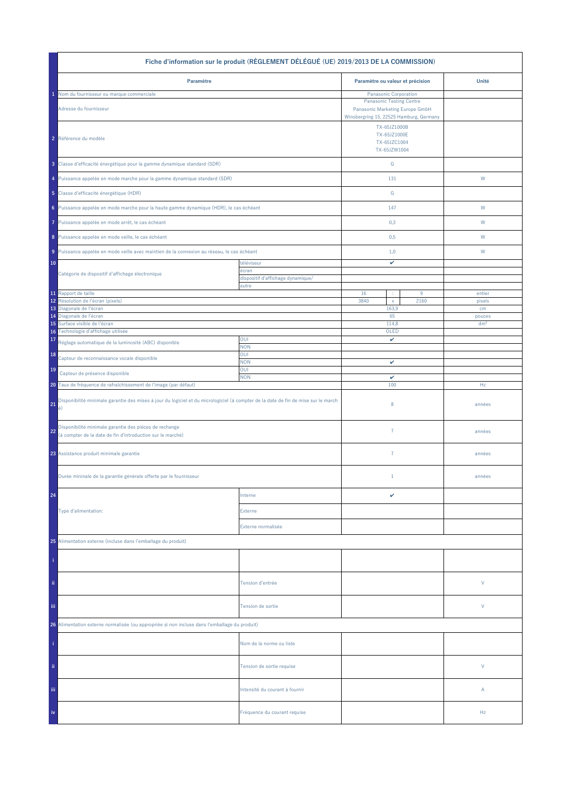| Fiche d'information sur le produit (RÈGLEMENT DÉLÉGUÉ (UE) 2019/2013 DE LA COMMISSION)                                                         |                                            |                                                                                                         |      |                 |  |
|------------------------------------------------------------------------------------------------------------------------------------------------|--------------------------------------------|---------------------------------------------------------------------------------------------------------|------|-----------------|--|
| Paramètre                                                                                                                                      |                                            | Paramètre ou valeur et précision                                                                        |      | Unité           |  |
| Nom du fournisseur ou marque commerciale                                                                                                       |                                            | Panasonic Corporation                                                                                   |      |                 |  |
| Adresse du fournisseur                                                                                                                         |                                            | <b>Panasonic Testing Centre</b><br>Panasonic Marketing Europe GmbH                                      |      |                 |  |
| 2 Référence du modèle                                                                                                                          |                                            | Winsbergring 15, 22525 Hamburg, Germany<br>TX-65JZ1000B<br>TX-65JZ1000E<br>TX-65JZC1004<br>TX-65JZW1004 |      |                 |  |
| 3 Classe d'efficacité énergétique pour la gamme dynamique standard (SDR)                                                                       |                                            | ${\mathsf G}$                                                                                           |      |                 |  |
| 4 Puissance appelée en mode marche pour la gamme dynamique standard (SDR)                                                                      |                                            | 131                                                                                                     |      | W               |  |
| 5 Classe d'efficacité énergétique (HDR)                                                                                                        |                                            | ${\mathbb G}$                                                                                           |      |                 |  |
| 6 Puissance appelée en mode marche pour la haute gamme dynamique (HDR), le cas échéant                                                         |                                            | 147                                                                                                     |      | W               |  |
| Puissance appelée en mode arrêt, le cas échéant<br>7                                                                                           |                                            | 0,3                                                                                                     |      | W               |  |
| 8 Puissance appelée en mode veille, le cas échéant                                                                                             |                                            | 0,5                                                                                                     |      | W               |  |
| 9 Puissance appelée en mode veille avec maintien de la connexion au réseau, le cas échéant                                                     |                                            | 1,0                                                                                                     |      | W               |  |
| 10<br>Catégorie de dispositif d'affichage électronique                                                                                         | téléviseur<br>écran                        | v                                                                                                       |      |                 |  |
|                                                                                                                                                | dispositif d'affichage dynamique/<br>autre |                                                                                                         |      |                 |  |
| 11 Rapport de taille                                                                                                                           |                                            | 16<br>÷                                                                                                 | 9    | entier          |  |
| Résolution de l'écran (pixels)<br>12<br>13 Diagonale de l'écran                                                                                |                                            | 3840<br>$\mathsf X$<br>163,9                                                                            | 2160 | pixels<br>cm    |  |
| 14 Diagonale de l'écran                                                                                                                        |                                            | 65                                                                                                      |      | pouces          |  |
| Surface visible de l'écran<br>15                                                                                                               |                                            | 114,8                                                                                                   |      | dm <sup>2</sup> |  |
| Technologie d'affichage utilisée<br>16<br>17<br>Réglage automatique de la luminosité (ABC) disponible                                          | OUI                                        | OLED<br>v                                                                                               |      |                 |  |
| 18<br>Capteur de reconnaissance vocale disponible                                                                                              | <b>NON</b><br>OUI                          |                                                                                                         |      |                 |  |
| 19<br>Capteur de présence disponible                                                                                                           | <b>NON</b><br>OUI                          | v                                                                                                       |      |                 |  |
| 20 Taux de fréquence de rafraîchissement de l'image (par défaut)                                                                               | <b>NON</b>                                 | $\checkmark$<br>100                                                                                     |      | Hz              |  |
| Disponibilité minimale garantie des mises à jour du logiciel et du micrologiciel (à compter de la date de fin de mise sur le march<br>21<br>é) |                                            | 8                                                                                                       |      | années          |  |
| Disponibilité minimale garantie des pièces de rechange<br>22<br>(à compter de la date de fin d'introduction sur le marché)                     |                                            | $\overline{7}$                                                                                          |      | années          |  |
| 23 Assistance produit minimale garantie                                                                                                        |                                            | $\overline{7}$                                                                                          |      | années          |  |
| Durée mininale de la garantie générale offerte par le fournisseur                                                                              |                                            | $1\,$                                                                                                   |      | années          |  |
| 24                                                                                                                                             | Interne                                    | v                                                                                                       |      |                 |  |
| Type d'alimentation:                                                                                                                           | Externe                                    |                                                                                                         |      |                 |  |
|                                                                                                                                                | Externe normalisée                         |                                                                                                         |      |                 |  |
| 25 Alimentation externe (incluse dans l'emballage du produit)                                                                                  |                                            |                                                                                                         |      |                 |  |
|                                                                                                                                                |                                            |                                                                                                         |      |                 |  |
| ii.                                                                                                                                            | Tension d'entrée                           |                                                                                                         |      | V               |  |
| iii.                                                                                                                                           | Tension de sortie                          |                                                                                                         |      | V               |  |
| 26 Alimentation externe normalisée (ou appropriée si non incluse dans l'emballage du produit)                                                  |                                            |                                                                                                         |      |                 |  |
|                                                                                                                                                | Nom de la norme ou liste                   |                                                                                                         |      |                 |  |
| ii.                                                                                                                                            | Tension de sortie requise                  |                                                                                                         |      | V               |  |
| Ϊij                                                                                                                                            | Intensité du courant à fournir             |                                                                                                         |      | Α               |  |
| iv                                                                                                                                             | Fréquence du courant requise               |                                                                                                         |      | Hz              |  |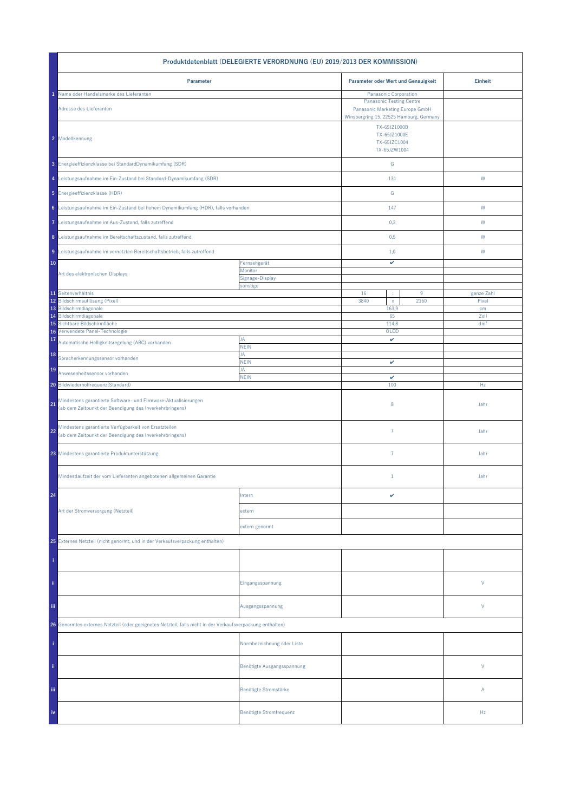| Produktdatenblatt (DELEGIERTE VERORDNUNG (EU) 2019/2013 DER KOMMISSION)                                                         |                             |                                                              |                                                                                                                                        |                 |  |
|---------------------------------------------------------------------------------------------------------------------------------|-----------------------------|--------------------------------------------------------------|----------------------------------------------------------------------------------------------------------------------------------------|-----------------|--|
| Parameter                                                                                                                       |                             | Parameter oder Wert und Genauigkeit                          |                                                                                                                                        | <b>Einheit</b>  |  |
| Name oder Handelsmarke des Lieferanten<br>Adresse des Lieferanten                                                               |                             |                                                              | Panasonic Corporation<br><b>Panasonic Testing Centre</b><br>Panasonic Marketing Europe GmbH<br>Winsbergring 15, 22525 Hamburg, Germany |                 |  |
| 2 Modellkennung                                                                                                                 |                             | TX-65JZ1000B<br>TX-65JZ1000E<br>TX-65JZC1004<br>TX-65JZW1004 |                                                                                                                                        |                 |  |
| 3 Energieeffizienzklasse bei StandardDynamikumfang (SDR)                                                                        |                             | ${\mathsf G}$                                                |                                                                                                                                        |                 |  |
| 4 Leistungsaufnahme im Ein-Zustand bei Standard-Dynamikumfang (SDR)                                                             |                             | 131                                                          |                                                                                                                                        | W               |  |
| 5 Energieeffizienzklasse (HDR)                                                                                                  |                             | G                                                            |                                                                                                                                        |                 |  |
| 6 Leistungsaufnahme im Ein-Zustand bei hohem Dynamikumfang (HDR), falls vorhanden                                               |                             | 147                                                          |                                                                                                                                        | W               |  |
| 7 Leistungsaufnahme im Aus-Zustand, falls zutreffend                                                                            |                             | 0,3                                                          |                                                                                                                                        | W               |  |
| 8 Leistungsaufnahme im Bereitschaftszustand, falls zutreffend                                                                   |                             | 0,5                                                          |                                                                                                                                        | W               |  |
| 9 Leistungsaufnahme im vernetzten Bereitschaftsbetrieb, falls zutreffend                                                        |                             | 1,0                                                          |                                                                                                                                        | W               |  |
| 10                                                                                                                              | Fernsehgerät<br>Monitor     | v                                                            |                                                                                                                                        |                 |  |
| Art des elektronischen Displays                                                                                                 | Signage-Display<br>sonstige |                                                              |                                                                                                                                        |                 |  |
| 11 Seitenverhältnis                                                                                                             |                             | 16<br>÷                                                      | $9\,$                                                                                                                                  | ganze Zahl      |  |
| 12 Bildschirmauflösung (Pixel)                                                                                                  |                             | 3840<br>$\mathsf{x}$                                         | 2160                                                                                                                                   | Pixel           |  |
| 13 Bildschirmdiagonale<br>Bildschirmdiagonale<br>14                                                                             |                             | 163,9<br>65                                                  |                                                                                                                                        | cm<br>Zoll      |  |
| Sichtbare Bildschirmfläche<br>15                                                                                                |                             | 114,8                                                        |                                                                                                                                        | dm <sup>2</sup> |  |
| Verwendete Panel-Technologie<br>16                                                                                              | JA                          | OLED<br>v                                                    |                                                                                                                                        |                 |  |
| 17<br>Automatische Helligkeitsregelung (ABC) vorhanden                                                                          | <b>NEIN</b>                 |                                                              |                                                                                                                                        |                 |  |
| 18<br>Spracherkennungssensor vorhanden                                                                                          | JA<br><b>NEIN</b>           | v                                                            |                                                                                                                                        |                 |  |
| 19<br>Anwesenheitssensor vorhanden                                                                                              | JA<br><b>NEIN</b>           | $\checkmark$                                                 |                                                                                                                                        |                 |  |
| 20 Bildwiederholfrequenz(Standard)                                                                                              |                             | 100                                                          |                                                                                                                                        | Hz              |  |
| Mindestens garantierte Software- und Firmware-Aktualisierungen<br>21<br>(ab dem Zeitpunkt der Beendigung des Inverkehrbringens) |                             | 8                                                            |                                                                                                                                        | Jahr            |  |
| Mindestens garantierte Verfügbarkeit von Ersatzteilen<br>22<br>(ab dem Zeitpunkt der Beendigung des Inverkehrbringens)          |                             | $\overline{7}$                                               |                                                                                                                                        | Jahr            |  |
| 23 Mindestens garantierte Produktunterstützung                                                                                  |                             | $\overline{7}$                                               |                                                                                                                                        | Jahr            |  |
| Mindestlaufzeit der vom Lieferanten angebotenen allgemeinen Garantie                                                            |                             | $\mathbf{1}$                                                 |                                                                                                                                        | Jahr            |  |
| 24                                                                                                                              | Intern                      | v                                                            |                                                                                                                                        |                 |  |
| Art der Stromversorgung (Netzteil)                                                                                              | extern                      |                                                              |                                                                                                                                        |                 |  |
|                                                                                                                                 | extern genormt              |                                                              |                                                                                                                                        |                 |  |
| 25 Externes Netzteil (nicht genormt, und in der Verkaufsverpackung enthalten)                                                   |                             |                                                              |                                                                                                                                        |                 |  |
|                                                                                                                                 |                             |                                                              |                                                                                                                                        |                 |  |
| ii.                                                                                                                             | Eingangsspannung            |                                                              |                                                                                                                                        | V               |  |
| Ϊij                                                                                                                             | Ausgangsspannung            |                                                              |                                                                                                                                        | V               |  |
| 26 Genormtes externes Netzteil (oder geeignetes Netzteil, falls nicht in der Verkaufsverpackung enthalten)                      |                             |                                                              |                                                                                                                                        |                 |  |
|                                                                                                                                 | Normbezeichnung oder Liste  |                                                              |                                                                                                                                        |                 |  |
| ii.                                                                                                                             | Benötigte Ausgangsspannung  |                                                              |                                                                                                                                        | V               |  |
| Ϊij                                                                                                                             | Benötigte Stromstärke       |                                                              |                                                                                                                                        | Α               |  |
| iv                                                                                                                              | Benötigte Stromfrequenz     |                                                              |                                                                                                                                        | Hz              |  |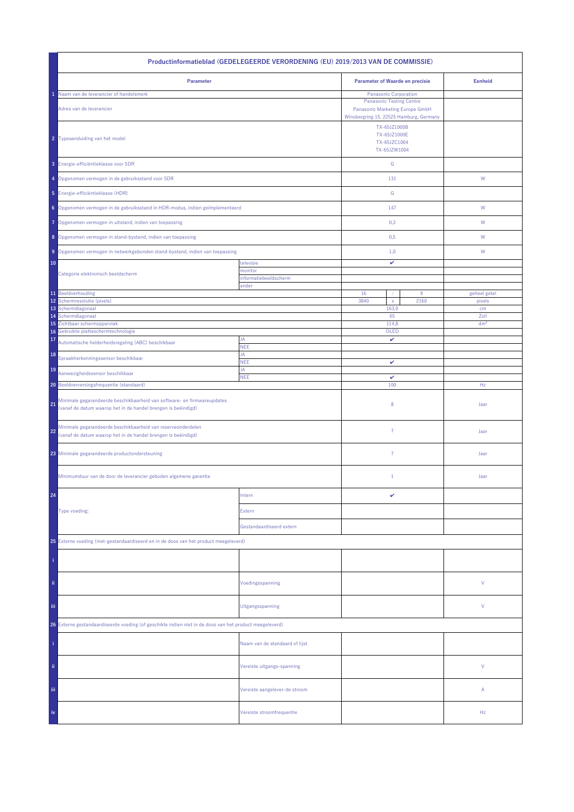| Productinformatieblad (GEDELEGEERDE VERORDENING (EU) 2019/2013 VAN DE COMMISSIE)                                                               |                                |                                                                                                                                        |                                                              |                 |  |
|------------------------------------------------------------------------------------------------------------------------------------------------|--------------------------------|----------------------------------------------------------------------------------------------------------------------------------------|--------------------------------------------------------------|-----------------|--|
| Parameter                                                                                                                                      |                                | <b>Parameter of Waarde en precisie</b>                                                                                                 |                                                              | <b>Eenheid</b>  |  |
| Naam van de leverancier of handelsmerk<br>Adres van de leverancier                                                                             |                                | Panasonic Corporation<br><b>Panasonic Testing Centre</b><br>Panasonic Marketing Europe GmbH<br>Winsbergring 15, 22525 Hamburg, Germany |                                                              |                 |  |
| 2 Typeaanduiding van het model                                                                                                                 |                                |                                                                                                                                        | TX-65JZ1000B<br>TX-65JZ1000E<br>TX-65JZC1004<br>TX-65JZW1004 |                 |  |
| 3 Energie-efficiëntieklasse voor SDR                                                                                                           |                                | ${\mathsf G}$                                                                                                                          |                                                              |                 |  |
| 4 Opgenomen vermogen in de gebruiksstand voor SDR                                                                                              |                                | 131                                                                                                                                    |                                                              | ${\mathsf W}$   |  |
| 5 Energie-efficiëntieklasse (HDR)                                                                                                              |                                | G                                                                                                                                      |                                                              |                 |  |
| 6 Opgenomen vermogen in de gebruiksstand in HDR-modus, indien geïmplementeerd                                                                  |                                | 147                                                                                                                                    |                                                              | W               |  |
| Opgenomen vermogen in uitstand, indien van toepassing<br>7                                                                                     |                                | 0,3                                                                                                                                    |                                                              | W               |  |
| 8 Opgenomen vermogen in stand-bystand, indien van toepassing                                                                                   |                                | 0,5                                                                                                                                    |                                                              | W               |  |
| 9 Opgenomen vermogen in netwerkgebonden stand-bystand, indien van toepassing                                                                   |                                | 1,0                                                                                                                                    |                                                              | W               |  |
| 10                                                                                                                                             | televisie<br>monitor           | v                                                                                                                                      |                                                              |                 |  |
| Categorie elektronisch beeldscherm                                                                                                             | informatiebeeldscherm<br>ander |                                                                                                                                        |                                                              |                 |  |
| 11 Beeldverhouding                                                                                                                             |                                | 16<br>÷                                                                                                                                | $9\,$                                                        | geheel getal    |  |
| 12<br>Schermresolutie (pixels)                                                                                                                 |                                | 3840<br>$\mathsf{x}$                                                                                                                   | 2160                                                         | pixels          |  |
| 13<br>Schermdiagonaal<br>Schermdiagonaal<br>14                                                                                                 |                                | 163,9<br>65                                                                                                                            |                                                              | cm<br>Zoll      |  |
| Zichtbaar schermoppervlak<br>15                                                                                                                |                                | 114,8                                                                                                                                  |                                                              | dm <sup>2</sup> |  |
| Gebruikte platteschermtechnologie<br>16                                                                                                        | JA                             | OLED<br>v                                                                                                                              |                                                              |                 |  |
| 17<br>Automatische helderheidsregeling (ABC) beschikbaar                                                                                       | <b>NEE</b>                     |                                                                                                                                        |                                                              |                 |  |
| 18<br>Spraakherkenningssensor beschikbaar                                                                                                      | JA<br><b>NEE</b>               | v                                                                                                                                      |                                                              |                 |  |
| 19<br>Aanwezigheidssensor beschikbaar                                                                                                          | JA<br><b>NEE</b>               | $\checkmark$                                                                                                                           |                                                              |                 |  |
| 20 Beeldverversingsfrequentie (standaard)                                                                                                      |                                | 100                                                                                                                                    |                                                              | Hz              |  |
| Minimale gegarandeerde beschikbaarheid van software- en firmwareupdates<br>21<br>(vanaf de datum waarop het in de handel brengen is beëindigd) |                                | 8                                                                                                                                      |                                                              | Jaar            |  |
| Minimale gegarandeerde beschikbaarheid van reserveonderdelen<br>22<br>(vanaf de datum waarop het in de handel brengen is beëindigd)            |                                | $\overline{7}$                                                                                                                         |                                                              | Jaar            |  |
| 23 Minimale gegarandeerde productondersteuning                                                                                                 |                                | $\overline{7}$                                                                                                                         |                                                              | Jaar            |  |
| Minimumduur van de door de leverancier geboden algemene garantie                                                                               |                                | $\mathbf{1}$                                                                                                                           |                                                              | Jaar            |  |
| 24                                                                                                                                             | Intern                         | v                                                                                                                                      |                                                              |                 |  |
| Type voeding:                                                                                                                                  | Extern                         |                                                                                                                                        |                                                              |                 |  |
|                                                                                                                                                | Gestandaardiseerd extern       |                                                                                                                                        |                                                              |                 |  |
| 25 Externe voeding (niet-gestandaardiseerd en in de doos van het product meegeleverd)                                                          |                                |                                                                                                                                        |                                                              |                 |  |
|                                                                                                                                                |                                |                                                                                                                                        |                                                              |                 |  |
| ii.                                                                                                                                            | Voedingsspanning               |                                                                                                                                        |                                                              | ٧               |  |
| Ϊij                                                                                                                                            | Uitgangsspanning               |                                                                                                                                        |                                                              | ٧               |  |
| 26 Externe gestandaardiseerde voeding (of geschikte indien niet in de doos van het product meegeleverd)                                        |                                |                                                                                                                                        |                                                              |                 |  |
|                                                                                                                                                | Naam van de standaard of lijst |                                                                                                                                        |                                                              |                 |  |
| ii.                                                                                                                                            | Vereiste uitgangs-spanning     |                                                                                                                                        |                                                              | V               |  |
| Ϊij                                                                                                                                            | Vereiste aangelever-de stroom  |                                                                                                                                        |                                                              | Α               |  |
| iv                                                                                                                                             | Vereiste stroomfrequentie      |                                                                                                                                        |                                                              | Hz              |  |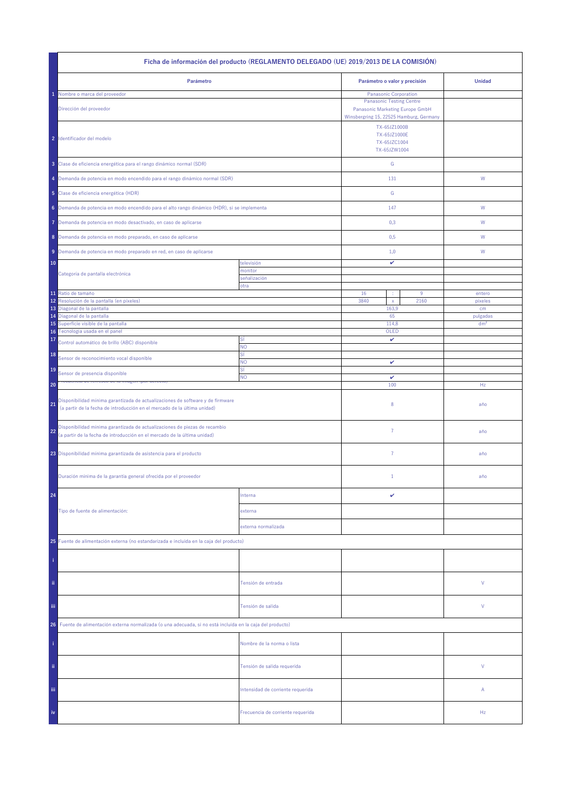| Ficha de información del producto (REGLAMENTO DELEGADO (UE) 2019/2013 DE LA COMISIÓN)                                                                            |                                   |                                                                                                         |           |                   |  |
|------------------------------------------------------------------------------------------------------------------------------------------------------------------|-----------------------------------|---------------------------------------------------------------------------------------------------------|-----------|-------------------|--|
| Parámetro                                                                                                                                                        |                                   | Parámetro o valor y precisión                                                                           |           | <b>Unidad</b>     |  |
| Nombre o marca del proveedor                                                                                                                                     |                                   | <b>Panasonic Corporation</b>                                                                            |           |                   |  |
| Dirección del proveedor                                                                                                                                          |                                   | <b>Panasonic Testing Centre</b><br>Panasonic Marketing Europe GmbH                                      |           |                   |  |
| 2 Identificador del modelo                                                                                                                                       |                                   | Winsbergring 15, 22525 Hamburg, Germany<br>TX-65JZ1000B<br>TX-65JZ1000E<br>TX-65JZC1004<br>TX-65JZW1004 |           |                   |  |
| 3 Clase de eficiencia energética para el rango dinámico normal (SDR)                                                                                             |                                   | ${\mathsf G}$                                                                                           |           |                   |  |
| 4 Demanda de potencia en modo encendido para el rango dinámico normal (SDR)                                                                                      |                                   | 131                                                                                                     |           | W                 |  |
| 5 Clase de eficiencia energética (HDR)                                                                                                                           |                                   | ${\mathbb G}$                                                                                           |           |                   |  |
| 6 Demanda de potencia en modo encendido para el alto rango dinámico (HDR), si se implementa                                                                      |                                   | 147                                                                                                     |           | W                 |  |
| Demanda de potencia en modo desactivado, en caso de aplicarse<br>7                                                                                               |                                   | 0,3                                                                                                     |           | W                 |  |
| 8 Demanda de potencia en modo preparado, en caso de aplicarse                                                                                                    |                                   | 0,5                                                                                                     |           | W                 |  |
| 9 Demanda de potencia en modo preparado en red, en caso de aplicarse                                                                                             |                                   | 1,0                                                                                                     |           | W                 |  |
| 10                                                                                                                                                               | televisión                        | v                                                                                                       |           |                   |  |
| Categoría de pantalla electrónica                                                                                                                                | monitor<br>señalización           |                                                                                                         |           |                   |  |
|                                                                                                                                                                  | otra                              |                                                                                                         |           |                   |  |
| 11 Ratio de tamaño<br>Resolución de la pantalla (en píxeles)<br>12                                                                                               |                                   | 16<br>÷<br>3840<br>$\mathsf{x}$                                                                         | 9<br>2160 | entero<br>pixeles |  |
| 13 Diagonal de la pantalla                                                                                                                                       |                                   | 163,9                                                                                                   |           | cm                |  |
| 14 Diagonal de la pantalla                                                                                                                                       |                                   | 65                                                                                                      |           | pulgadas          |  |
| Superficie visible de la pantalla<br>15<br>Tecnología usada en el panel                                                                                          |                                   | 114,8                                                                                                   |           | dm <sup>2</sup>   |  |
| 16<br>17<br>Control automático de brillo (ABC) disponible                                                                                                        | SÍ<br><b>NO</b>                   | OLED<br>v                                                                                               |           |                   |  |
| 18<br>Sensor de reconocimiento vocal disponible                                                                                                                  | SÍ<br>NO.                         | v                                                                                                       |           |                   |  |
| 19<br>Sensor de presencia disponible                                                                                                                             | SÍ<br><b>NO</b>                   | v                                                                                                       |           |                   |  |
| 20                                                                                                                                                               |                                   | 100                                                                                                     |           | Hz                |  |
| Disponibilidad mínima garantizada de actualizaciones de software y de firmware<br>21<br>(a partir de la fecha de introducción en el mercado de la última unidad) |                                   | 8                                                                                                       |           | año               |  |
| Disponibilidad mínima garantizada de actualizaciones de piezas de recambio<br>22<br>(a partir de la fecha de introducción en el mercado de la última unidad)     |                                   | 7                                                                                                       |           | año               |  |
| 23 Disponibilidad mínima garantizada de asistencia para el producto                                                                                              |                                   | $\overline{7}$                                                                                          |           | año               |  |
| Duración mínima de la garantía general ofrecida por el proveedor                                                                                                 |                                   | $1\,$                                                                                                   |           | año               |  |
| 24                                                                                                                                                               | Interna                           | v                                                                                                       |           |                   |  |
| Tipo de fuente de alimentación:                                                                                                                                  | externa                           |                                                                                                         |           |                   |  |
|                                                                                                                                                                  | externa normalizada               |                                                                                                         |           |                   |  |
| 25 Fuente de alimentación externa (no estandarizada e incluida en la caja del producto)                                                                          |                                   |                                                                                                         |           |                   |  |
|                                                                                                                                                                  |                                   |                                                                                                         |           |                   |  |
| ii.                                                                                                                                                              | Tensión de entrada                |                                                                                                         |           | V                 |  |
| Ϊij                                                                                                                                                              | Tensión de salida                 |                                                                                                         |           | V                 |  |
| Fuente de alimentación externa normalizada (o una adecuada, si no está incluida en la caja del producto)<br>26                                                   |                                   |                                                                                                         |           |                   |  |
|                                                                                                                                                                  | Nombre de la norma o lista        |                                                                                                         |           |                   |  |
| ii.                                                                                                                                                              | Tensión de salida requerida       |                                                                                                         |           | V                 |  |
| Ϊij                                                                                                                                                              | Intensidad de corriente requerida |                                                                                                         |           | Α                 |  |
| iv                                                                                                                                                               | Frecuencia de corriente requerida |                                                                                                         |           | Hz                |  |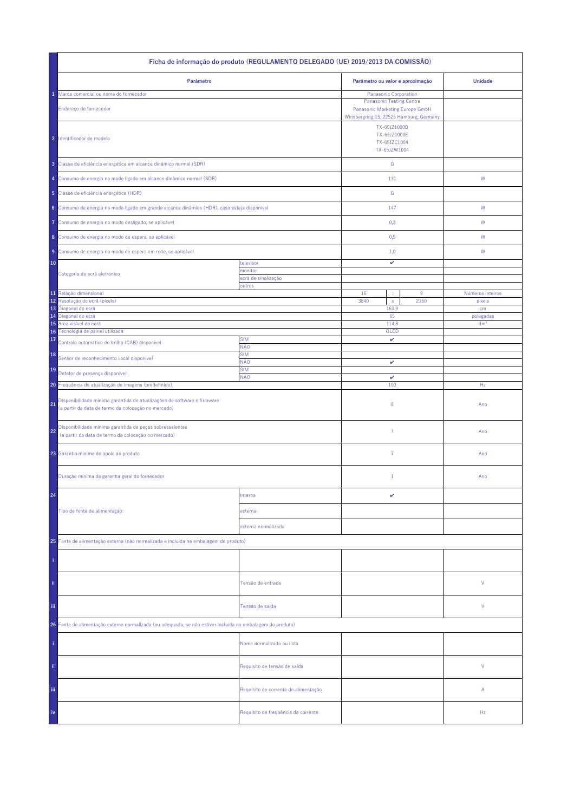| Ficha de informação do produto (REGULAMENTO DELEGADO (UE) 2019/2013 DA COMISSÃO)                                                     |                                      |                                                                                                                               |  |                  |  |
|--------------------------------------------------------------------------------------------------------------------------------------|--------------------------------------|-------------------------------------------------------------------------------------------------------------------------------|--|------------------|--|
| Parâmetro                                                                                                                            |                                      | Parâmetro ou valor e aproximação                                                                                              |  | <b>Unidade</b>   |  |
| Marca comercial ou nome do fornecedor                                                                                                |                                      | Panasonic Corporation                                                                                                         |  |                  |  |
| Endereço do fornecedor                                                                                                               |                                      | <b>Panasonic Testing Centre</b><br>Panasonic Marketing Europe GmbH<br>Winsbergring 15, 22525 Hamburg, Germany<br>TX-65JZ1000B |  |                  |  |
| 2 Identificador de modelo                                                                                                            |                                      | TX-65JZ1000E<br>TX-65JZC1004<br>TX-65JZW1004                                                                                  |  |                  |  |
| 3 Classe de eficiência energética em alcance dinâmico normal (SDR)                                                                   |                                      | ${\mathbb G}$                                                                                                                 |  |                  |  |
| 4 Consumo de energia no modo ligado em alcance dinâmico normal (SDR)                                                                 |                                      | 131                                                                                                                           |  | W                |  |
| 5 Classe de eficiência energética (HDR)                                                                                              |                                      | ${\mathbb G}$                                                                                                                 |  |                  |  |
| 6 Consumo de energia no modo ligado em grande alcance dinâmico (HDR), caso esteja disponível                                         |                                      | 147                                                                                                                           |  | ${\sf W}$        |  |
| Consumo de energia no modo desligado, se aplicável<br>Ô                                                                              |                                      | 0,3                                                                                                                           |  | W                |  |
| 8 Consumo de energia no modo de espera, se aplicável                                                                                 |                                      | 0,5                                                                                                                           |  | W                |  |
| Consumo de energia no modo de espera em rede, se aplicável<br>9<br>10                                                                | televisor                            | 1,0<br>v                                                                                                                      |  | W                |  |
| Categoria de ecrã eletrónico                                                                                                         | monitor<br>ecră de sinalização       |                                                                                                                               |  |                  |  |
|                                                                                                                                      | outros                               |                                                                                                                               |  |                  |  |
| 11 Relação dimensional                                                                                                               |                                      | 16<br>$9\,$                                                                                                                   |  | Números inteiros |  |
| Resolução do ecrã (píxeis)<br>12<br>13<br>Diagonal do ecrã                                                                           |                                      | 3840<br>2160<br>$\mathsf X$<br>163,9                                                                                          |  | pixeis<br>cm     |  |
| Diagonal do ecrã<br>14                                                                                                               |                                      | 65                                                                                                                            |  | polegadas        |  |
| Área visível do ecrã<br>15                                                                                                           |                                      | 114,8                                                                                                                         |  | dm <sup>2</sup>  |  |
| 16 Tecnologia de painel utilizada<br>17                                                                                              | <b>SIM</b>                           | OLED<br>v                                                                                                                     |  |                  |  |
| Controlo automático do brilho (CAB) disponível<br>18                                                                                 | NÃO<br><b>SIM</b>                    |                                                                                                                               |  |                  |  |
| Sensor de reconhecimento vocal disponível                                                                                            | NÃO                                  | v                                                                                                                             |  |                  |  |
| 19<br>Detetor de presença disponível                                                                                                 | <b>SIM</b><br>NÃO                    | $\checkmark$                                                                                                                  |  |                  |  |
| 20 Frequência de atualização de imagens (predefinido)                                                                                |                                      | 100                                                                                                                           |  | Hz               |  |
| Disponibilidade mínima garantida de atualizações de software e firmware<br>21<br>(a partir da data de termo da colocação no mercado) |                                      | 8                                                                                                                             |  | Ano              |  |
| Disponibilidade mínima garantida de peças sobressalentes<br>22<br>(a partir da data de termo da colocação no mercado)                |                                      | $\overline{7}$                                                                                                                |  | Ano              |  |
| 23 Garantia mínima de apoio ao produto                                                                                               |                                      | 7                                                                                                                             |  | Ano              |  |
| Duração mínima da garantia geral do fornecedor                                                                                       |                                      | $\mathbf{1}$                                                                                                                  |  | Ano              |  |
| 24                                                                                                                                   | Interna                              | v                                                                                                                             |  |                  |  |
| Tipo de fonte de alimentação:                                                                                                        | externa                              |                                                                                                                               |  |                  |  |
|                                                                                                                                      | externa normalizada                  |                                                                                                                               |  |                  |  |
| 25 Fonte de alimentação externa (não normalizada e incluída na embalagem do produto)                                                 |                                      |                                                                                                                               |  |                  |  |
|                                                                                                                                      |                                      |                                                                                                                               |  |                  |  |
| ii.                                                                                                                                  | Tensão de entrada                    |                                                                                                                               |  | V                |  |
| Ϊij                                                                                                                                  | Tensão de saída                      |                                                                                                                               |  | V                |  |
| 26 Fonte de alimentação externa normalizada (ou adequada, se não estiver incluída na embalagem do produto)                           |                                      |                                                                                                                               |  |                  |  |
|                                                                                                                                      | Nome normalizado ou lista            |                                                                                                                               |  |                  |  |
| ii.                                                                                                                                  | Requisito de tensão de saída         |                                                                                                                               |  | V                |  |
| Ϊij                                                                                                                                  | Requisito de corrente de alimentação |                                                                                                                               |  | Α                |  |
| iv                                                                                                                                   | Requisito de frequência da corrente  |                                                                                                                               |  | Hz               |  |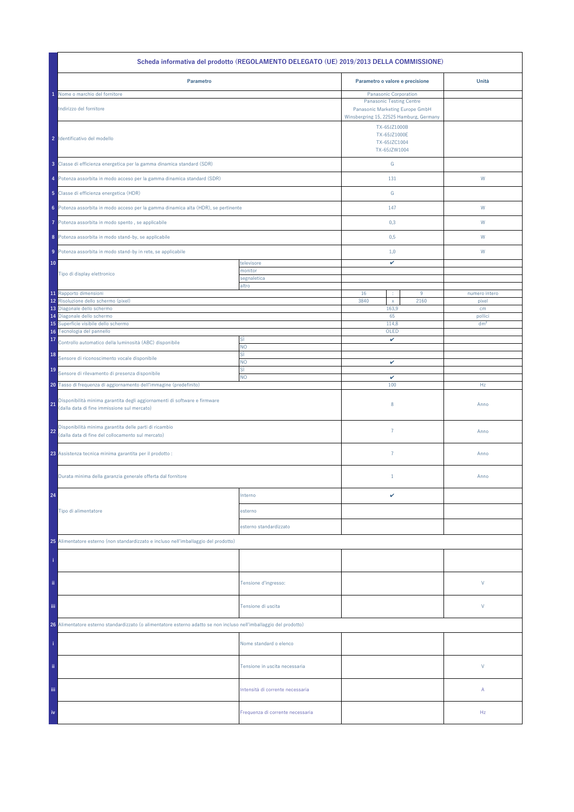|                                                                                                                                | Scheda informativa del prodotto (REGOLAMENTO DELEGATO (UE) 2019/2013 DELLA COMMISSIONE) |                                                                                                         |           |                        |
|--------------------------------------------------------------------------------------------------------------------------------|-----------------------------------------------------------------------------------------|---------------------------------------------------------------------------------------------------------|-----------|------------------------|
| Parametro                                                                                                                      |                                                                                         | Parametro o valore e precisione                                                                         |           | Unità                  |
| Nome o marchio del fornitore                                                                                                   |                                                                                         | Panasonic Corporation                                                                                   |           |                        |
| Indirizzo del fornitore                                                                                                        |                                                                                         | <b>Panasonic Testing Centre</b><br>Panasonic Marketing Europe GmbH                                      |           |                        |
| 2 Identificativo del modello                                                                                                   |                                                                                         | Winsbergring 15, 22525 Hamburg, Germany<br>TX-65JZ1000B<br>TX-65JZ1000E<br>TX-65JZC1004<br>TX-65JZW1004 |           |                        |
| 3 Classe di efficienza energetica per la gamma dinamica standard (SDR)                                                         |                                                                                         | ${\mathsf G}$                                                                                           |           |                        |
| 4 Potenza assorbita in modo acceso per la gamma dinamica standard (SDR)                                                        |                                                                                         | 131                                                                                                     |           | W                      |
| 5 Classe di efficienza energetica (HDR)                                                                                        |                                                                                         | ${\mathbb G}$                                                                                           |           |                        |
| 6 Potenza assorbita in modo acceso per la gamma dinamica alta (HDR), se pertinente                                             |                                                                                         | 147                                                                                                     |           | W                      |
| Potenza assorbita in modo spento, se applicabile<br>7                                                                          |                                                                                         | 0,3                                                                                                     |           | W                      |
| 8 Potenza assorbita in modo stand-by, se applicabile                                                                           |                                                                                         | 0,5                                                                                                     |           | W                      |
| 9 Potenza assorbita in modo stand-by in rete, se applicabile                                                                   |                                                                                         | 1,0                                                                                                     |           | W                      |
| 10                                                                                                                             | televisore<br>monitor                                                                   | v                                                                                                       |           |                        |
| Tipo di display elettronico                                                                                                    | segnaletica                                                                             |                                                                                                         |           |                        |
|                                                                                                                                | altro                                                                                   |                                                                                                         |           |                        |
| 11 Rapporto dimensioni<br>12 Risoluzione dello schermo (pixel)                                                                 |                                                                                         | 16<br>÷<br>3840<br>$\mathsf X$                                                                          | 9<br>2160 | numero intero<br>pixel |
| 13 Diagonale dello schermo                                                                                                     |                                                                                         | 163,9                                                                                                   |           | cm                     |
| 14 Diagonale dello schermo                                                                                                     |                                                                                         | 65                                                                                                      |           | pollici                |
| Superficie visibile dello schermo<br>15                                                                                        |                                                                                         | 114,8                                                                                                   |           | dm <sup>2</sup>        |
| Tecnologia del pannello<br>16                                                                                                  |                                                                                         | OLED                                                                                                    |           |                        |
| 17<br>Controllo automatico della luminosità (ABC) disponibile                                                                  | SÌ<br>NO.                                                                               | v                                                                                                       |           |                        |
| 18<br>Sensore di riconoscimento vocale disponibile                                                                             | sì<br>NO.                                                                               | v                                                                                                       |           |                        |
| 19<br>Sensore di rilevamento di presenza disponibile                                                                           | sì<br><b>NO</b>                                                                         | $\checkmark$                                                                                            |           |                        |
| 20 Tasso di frequenza di aggiornamento dell'immagine (predefinito)                                                             |                                                                                         | 100                                                                                                     |           | Hz                     |
| Disponibilità minima garantita degli aggiornamenti di software e firmware<br>21<br>(dalla data di fine immissione sul mercato) |                                                                                         | $\,$ 8 $\,$                                                                                             |           | Anno                   |
| Disponibilità minima garantita delle parti di ricambio<br>22<br>(dalla data di fine del collocamento sul mercato)              |                                                                                         | $\overline{7}$                                                                                          |           | Anno                   |
| 23 Assistenza tecnica minima garantita per il prodotto :                                                                       |                                                                                         | $\overline{7}$                                                                                          |           | Anno                   |
| Durata minima della garanzia generale offerta dal fornitore                                                                    |                                                                                         | $1\,$                                                                                                   |           | Anno                   |
| 24                                                                                                                             | Interno                                                                                 | v                                                                                                       |           |                        |
| Tipo di alimentatore                                                                                                           | esterno                                                                                 |                                                                                                         |           |                        |
|                                                                                                                                | esterno standardizzato                                                                  |                                                                                                         |           |                        |
| 25 Alimentatore esterno (non standardizzato e incluso nell'imballaggio del prodotto)                                           |                                                                                         |                                                                                                         |           |                        |
|                                                                                                                                |                                                                                         |                                                                                                         |           |                        |
| ii.                                                                                                                            | Tensione d'ingresso:                                                                    |                                                                                                         |           | V                      |
| iii.                                                                                                                           | Tensione di uscita                                                                      |                                                                                                         |           | V                      |
| 26 Alimentatore esterno standardizzato (o alimentatore esterno adatto se non incluso nell'imballaggio del prodotto)            |                                                                                         |                                                                                                         |           |                        |
|                                                                                                                                | Nome standard o elenco                                                                  |                                                                                                         |           |                        |
| ii.                                                                                                                            | Tensione in uscita necessaria                                                           |                                                                                                         |           | V                      |
| Ϊij                                                                                                                            | Intensità di corrente necessaria                                                        |                                                                                                         |           | Α                      |
| iv                                                                                                                             | Frequenza di corrente necessaria                                                        |                                                                                                         |           | Hz                     |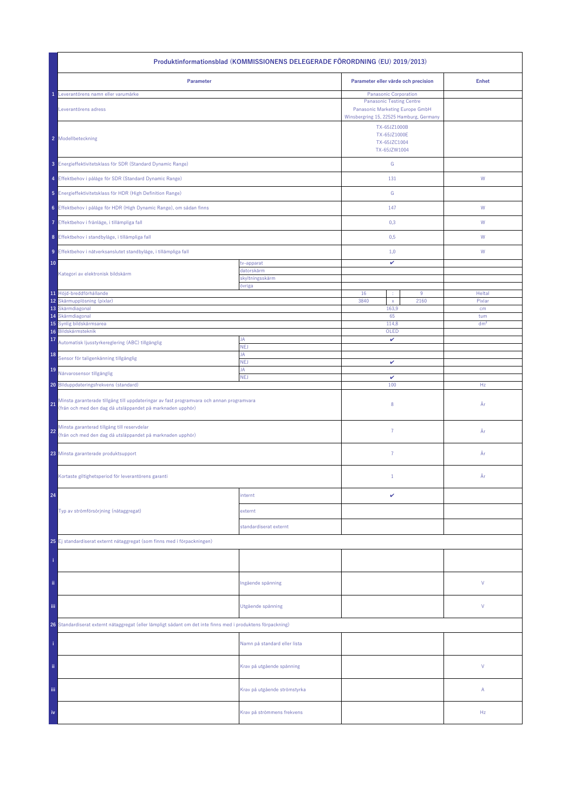| Produktinformationsblad (KOMMISSIONENS DELEGERADE FÖRORDNING (EU) 2019/2013)                                                                                 |                              |                                                                                                                                               |      |                 |  |
|--------------------------------------------------------------------------------------------------------------------------------------------------------------|------------------------------|-----------------------------------------------------------------------------------------------------------------------------------------------|------|-----------------|--|
| Parameter                                                                                                                                                    |                              | Parameter eller värde och precision                                                                                                           |      | <b>Enhet</b>    |  |
| Leverantörens namn eller varumärke<br>Leverantörens adress                                                                                                   |                              | <b>Panasonic Corporation</b><br><b>Panasonic Testing Centre</b><br>Panasonic Marketing Europe GmbH<br>Winsbergring 15, 22525 Hamburg, Germany |      |                 |  |
| 2 Modellbeteckning                                                                                                                                           |                              | TX-65JZ1000B<br>TX-65JZ1000E<br>TX-65JZC1004<br>TX-65JZW1004                                                                                  |      |                 |  |
| 3 Energieffektivitetsklass för SDR (Standard Dynamic Range)                                                                                                  |                              | ${\mathsf G}$                                                                                                                                 |      |                 |  |
| 4 Effektbehov i påläge för SDR (Standard Dynamic Range)                                                                                                      |                              | 131                                                                                                                                           |      | ${\mathsf W}$   |  |
| 5 Energieffektivitetsklass för HDR (High Definition Range)                                                                                                   |                              | ${\mathbb G}$                                                                                                                                 |      |                 |  |
| 6 Effektbehov i påläge för HDR (High Dynamic Range), om sådan finns                                                                                          |                              | 147                                                                                                                                           |      | W               |  |
| 7 Effektbehov i frånläge, i tillämpliga fall                                                                                                                 |                              | 0,3                                                                                                                                           |      | W               |  |
| 8 Effektbehov i standbyläge, i tillämpliga fall                                                                                                              |                              | 0,5                                                                                                                                           |      | W               |  |
| 9 Effektbehov i nätverksanslutet standbyläge, i tillämpliga fall                                                                                             |                              | 1,0                                                                                                                                           |      | W               |  |
| 10                                                                                                                                                           | tv-apparat<br>datorskärm     | v                                                                                                                                             |      |                 |  |
| Kategori av elektronisk bildskärm                                                                                                                            | skyltningsskärm<br>övriga    |                                                                                                                                               |      |                 |  |
| 11 Höjd-breddförhållande                                                                                                                                     |                              | 16<br>$9\,$<br>÷                                                                                                                              |      | Heltal          |  |
| 12 Skärmupplösning (pixlar)<br>13 Skärmdiagonal                                                                                                              |                              | 3840<br>$\mathsf{x}$<br>163,9                                                                                                                 | 2160 | Pixlar<br>cm    |  |
| Skärmdiagonal<br>14                                                                                                                                          |                              | 65                                                                                                                                            |      | tum             |  |
| Synlig bildskärmsarea<br>15<br>Bildskärmsteknik<br>16                                                                                                        |                              | 114,8<br>OLED                                                                                                                                 |      | dm <sup>2</sup> |  |
| 17<br>Automatisk ljusstyrkereglering (ABC) tillgänglig                                                                                                       | JA<br><b>NEJ</b>             | v                                                                                                                                             |      |                 |  |
| 18<br>Sensor för taligenkänning tillgänglig                                                                                                                  | JA<br><b>NEJ</b>             | v                                                                                                                                             |      |                 |  |
| 19<br>Närvarosensor tillgänglig                                                                                                                              | JA                           |                                                                                                                                               |      |                 |  |
| 20 Bilduppdateringsfrekvens (standard)                                                                                                                       | <b>NEJ</b>                   | $\checkmark$<br>100                                                                                                                           |      | Hz              |  |
| Minsta garanterade tillgång till uppdateringar av fast programvara och annan programvara<br>21<br>(från och med den dag då utsläppandet på marknaden upphör) |                              | 8                                                                                                                                             |      | År              |  |
| Minsta garanterad tillgång till reservdelar<br>22<br>(från och med den dag då utsläppandet på marknaden upphör)                                              |                              | $\overline{7}$                                                                                                                                |      | År              |  |
| 23 Minsta garanterade produktsupport                                                                                                                         |                              | $\overline{7}$                                                                                                                                |      | År              |  |
| Kortaste giltighetsperiod för leverantörens garanti                                                                                                          |                              | $\mathbf{1}$                                                                                                                                  |      | År              |  |
| 24                                                                                                                                                           | internt                      | v                                                                                                                                             |      |                 |  |
| Typ av strömförsörjning (nätaggregat)                                                                                                                        | externt                      |                                                                                                                                               |      |                 |  |
|                                                                                                                                                              | standardiserat externt       |                                                                                                                                               |      |                 |  |
| 25 Ej standardiserat externt nätaggregat (som finns med i förpackningen)                                                                                     |                              |                                                                                                                                               |      |                 |  |
|                                                                                                                                                              |                              |                                                                                                                                               |      |                 |  |
| ii.                                                                                                                                                          | Ingående spänning            |                                                                                                                                               |      | ٧               |  |
| Ϊij                                                                                                                                                          | Utgående spänning            |                                                                                                                                               |      | ٧               |  |
| 26 Standardiserat externt nätaggregat (eller lämpligt sådant om det inte finns med i produktens förpackning)                                                 |                              |                                                                                                                                               |      |                 |  |
|                                                                                                                                                              | Namn på standard eller lista |                                                                                                                                               |      |                 |  |
| ii.                                                                                                                                                          | Krav på utgående spänning    |                                                                                                                                               |      | V               |  |
| Ϊij                                                                                                                                                          | Krav på utgående strömstyrka |                                                                                                                                               |      | Α               |  |
| iv                                                                                                                                                           | Krav på strömmens frekvens   |                                                                                                                                               |      | Hz              |  |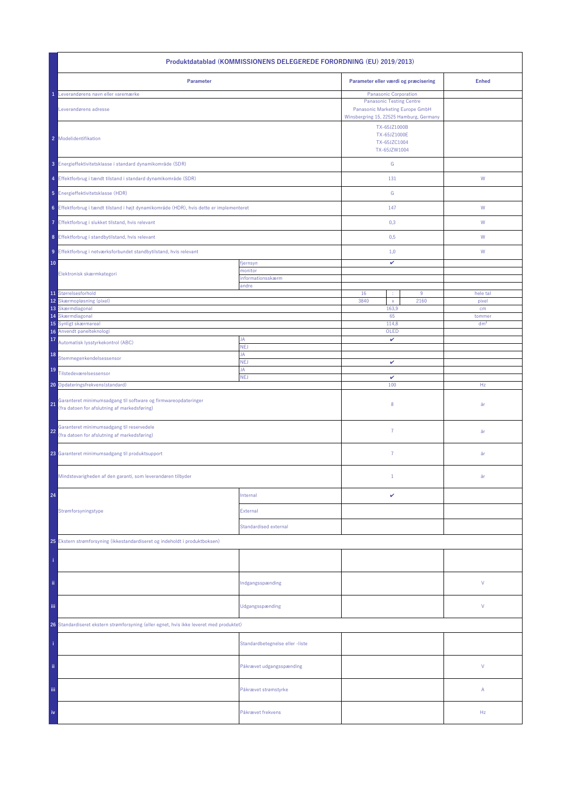| Produktdatablad (KOMMISSIONENS DELEGEREDE FORORDNING (EU) 2019/2013)                                                 |                                 |                                                                                                               |                           |  |  |
|----------------------------------------------------------------------------------------------------------------------|---------------------------------|---------------------------------------------------------------------------------------------------------------|---------------------------|--|--|
| Parameter                                                                                                            |                                 | Parameter eller værdi og præcisering                                                                          | <b>Enhed</b>              |  |  |
| Leverandørens navn eller varemærke                                                                                   |                                 | Panasonic Corporation                                                                                         |                           |  |  |
| Leverandørens adresse                                                                                                |                                 | <b>Panasonic Testing Centre</b><br>Panasonic Marketing Europe GmbH<br>Winsbergring 15, 22525 Hamburg, Germany |                           |  |  |
| 2 Modelidentifikation                                                                                                |                                 | TX-65JZ1000B<br>TX-65JZ1000E<br>TX-65JZC1004<br>TX-65JZW1004                                                  |                           |  |  |
| 3 Energieffektivitetsklasse i standard dynamikområde (SDR)                                                           |                                 | ${\mathbb G}$                                                                                                 |                           |  |  |
| 4 Effektforbrug i tændt tilstand i standard dynamikområde (SDR)                                                      |                                 | 131                                                                                                           | W                         |  |  |
| 5 Energieffektivitetsklasse (HDR)                                                                                    |                                 | ${\mathbb G}$                                                                                                 |                           |  |  |
| 6 Effektforbrug i tændt tilstand i højt dynamikområde (HDR), hvis dette er implementeret                             |                                 | 147                                                                                                           | ${\sf W}$                 |  |  |
| 7 Effektforbrug i slukket tilstand, hvis relevant                                                                    |                                 | 0,3                                                                                                           | W                         |  |  |
| 8 Effektforbrug i standbytilstand, hvis relevant                                                                     |                                 | 0,5                                                                                                           | W                         |  |  |
| 9 Effektforbrug i netværksforbundet standbytilstand, hvis relevant                                                   |                                 | 1,0                                                                                                           | W                         |  |  |
| 10                                                                                                                   | fjernsyn                        | $\checkmark$                                                                                                  |                           |  |  |
| Elektronisk skærmkategori                                                                                            | monitor<br>informationsskærm    |                                                                                                               |                           |  |  |
|                                                                                                                      | andre                           |                                                                                                               |                           |  |  |
| 11 Størrelsesforhold<br>12<br>Skærmopløsning (pixel)                                                                 |                                 | 16<br>$9\,$<br>3840<br>2160<br>$\mathsf X$                                                                    | hele tal<br>pixel         |  |  |
| 13 Skærmdiagonal                                                                                                     |                                 | 163,9                                                                                                         | cm                        |  |  |
| Skærmdiagonal<br>14<br>15<br>Synligt skærmareal                                                                      |                                 | 65<br>114,8                                                                                                   | tommer<br>dm <sup>2</sup> |  |  |
| 16 Anvendt panelteknologi                                                                                            |                                 | OLED                                                                                                          |                           |  |  |
| 17<br>Automatisk lysstyrkekontrol (ABC)                                                                              | JA<br>NEJ                       | v                                                                                                             |                           |  |  |
| 18<br>Stemmegenkendelsessensor                                                                                       | JA<br><b>NEJ</b>                | $\checkmark$                                                                                                  |                           |  |  |
| 19<br>Tilstedeværelsessensor                                                                                         | JA<br><b>NEJ</b>                | v                                                                                                             |                           |  |  |
| 20 Opdateringsfrekvens (standard)                                                                                    |                                 | 100                                                                                                           | Hz                        |  |  |
| Garanteret minimumsadgang til software og firmwareopdateringer<br>21<br>(fra datoen for afslutning af markedsføring) |                                 | 8                                                                                                             | år                        |  |  |
| Garanteret minimumsadgang til reservedele<br>22<br>(fra datoen for afslutning af markedsføring)                      |                                 | $\overline{7}$                                                                                                | år                        |  |  |
| 23 Garanteret minimumsadgang til produktsupport                                                                      |                                 | $\overline{7}$                                                                                                | år                        |  |  |
| Mindstevarigheden af den garanti, som leverandøren tilbyder                                                          |                                 | $\mathbf{1}$                                                                                                  | år                        |  |  |
| 24                                                                                                                   | Internal                        | v                                                                                                             |                           |  |  |
| Strømforsyningstype                                                                                                  | External                        |                                                                                                               |                           |  |  |
|                                                                                                                      | <b>Standardised external</b>    |                                                                                                               |                           |  |  |
| 25 Ekstern strømforsyning (ikkestandardiseret og indeholdt i produktboksen)                                          |                                 |                                                                                                               |                           |  |  |
|                                                                                                                      |                                 |                                                                                                               |                           |  |  |
| ii.                                                                                                                  | Indgangsspænding                |                                                                                                               | V                         |  |  |
| Ϊij                                                                                                                  | Udgangsspænding                 |                                                                                                               | V                         |  |  |
| 26 Standardiseret ekstern strømforsyning (eller egnet, hvis ikke leveret med produktet)                              |                                 |                                                                                                               |                           |  |  |
|                                                                                                                      | Standardbetegnelse eller -liste |                                                                                                               |                           |  |  |
| ii.                                                                                                                  | Påkrævet udgangsspænding        |                                                                                                               | V                         |  |  |
| iii.                                                                                                                 | Påkrævet strømstyrke            |                                                                                                               | Α                         |  |  |
| iv                                                                                                                   | Påkrævet frekvens               |                                                                                                               | Hz                        |  |  |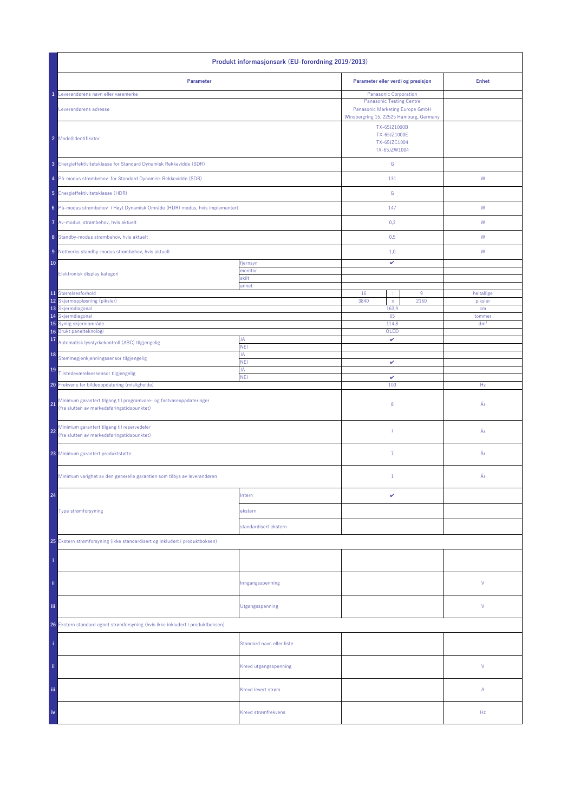| Produkt informasjonsark (EU-forordning 2019/2013)                                                                       |                           |                                                              |                                                                                                                                        |                 |
|-------------------------------------------------------------------------------------------------------------------------|---------------------------|--------------------------------------------------------------|----------------------------------------------------------------------------------------------------------------------------------------|-----------------|
| Parameter                                                                                                               |                           | Parameter eller verdi og presisjon                           |                                                                                                                                        | <b>Enhet</b>    |
| Leverandørens navn eller varemerke<br>Leverandørens adresse                                                             |                           |                                                              | Panasonic Corporation<br><b>Panasonic Testing Centre</b><br>Panasonic Marketing Europe GmbH<br>Winsbergring 15, 22525 Hamburg, Germany |                 |
| 2 Modellidentifikator                                                                                                   |                           | TX-65JZ1000B<br>TX-65JZ1000E<br>TX-65JZC1004<br>TX-65JZW1004 |                                                                                                                                        |                 |
| 3 Energieffektivitetsklasse for Standard Dynamisk Rekkevidde (SDR)                                                      |                           | ${\mathsf G}$                                                |                                                                                                                                        |                 |
| 4 På-modus strømbehov for Standard Dynamisk Rekkevidde (SDR)                                                            |                           | 131                                                          |                                                                                                                                        | ${\mathsf W}$   |
| 5 Energieffektivitetsklasse (HDR)                                                                                       |                           | G                                                            |                                                                                                                                        |                 |
| 6 På-modus strømbehov i Høyt Dynamisk Område (HDR) modus, hvis implementert                                             |                           | 147                                                          |                                                                                                                                        | W               |
| 7 Av-modus, strømbehov, hvis aktuelt                                                                                    |                           | 0,3                                                          |                                                                                                                                        | W               |
| 8 Standby-modus strømbehov, hvis aktuelt                                                                                |                           | 0,5                                                          |                                                                                                                                        | W               |
| 9 Nettverks standby-modus strømbehov, hvis aktuelt                                                                      |                           | 1,0                                                          |                                                                                                                                        | W               |
| 10                                                                                                                      | fjernsyn<br>monitor       | v                                                            |                                                                                                                                        |                 |
| Elektronisk display kategori                                                                                            | skilt<br>annet            |                                                              |                                                                                                                                        |                 |
| 11 Størrelsesforhold                                                                                                    |                           | 16<br>$9\,$<br>÷                                             |                                                                                                                                        | heltallige      |
| 12<br>Skjermoppløsning (piksler)<br>13 Skjermdiagonal                                                                   |                           | 3840<br>2160<br>$\mathsf{x}$<br>163,9                        |                                                                                                                                        | piksler<br>cm   |
| 14 Skjermdiagonal                                                                                                       |                           | 65                                                           |                                                                                                                                        | tommer          |
| 15 Synlig skjermområde                                                                                                  |                           | 114,8                                                        |                                                                                                                                        | dm <sup>2</sup> |
| 16 Brukt panelteknologi<br>17<br>Automatisk lysstyrkekontroll (ABC) tilgjengelig                                        | JA                        | OLED<br>v                                                    |                                                                                                                                        |                 |
| 18                                                                                                                      | <b>NEI</b><br>JA          |                                                              |                                                                                                                                        |                 |
| Stemmegjenkjenningssensor tilgjengelig<br>19                                                                            | <b>NEI</b><br>JA          | $\checkmark$                                                 |                                                                                                                                        |                 |
| Tilstedeværelsessensor tilgjengelig<br>Frekvens for bildeoppdatering (misligholde)<br>20 <sub>1</sub>                   | <b>NEI</b>                | $\checkmark$<br>100                                          |                                                                                                                                        | Hz              |
| Minimum garantert tilgang til programvare- og fastvareoppdateringer<br>21<br>(fra slutten av markedsføringstidspunktet) |                           | 8                                                            |                                                                                                                                        | År              |
| Minimum garantert tilgang til reservedeler<br>22<br>(fra slutten av markedsføringstidspunktet)                          |                           | $\overline{7}$                                               |                                                                                                                                        | År              |
| 23 Minimum garantert produktstøtte                                                                                      |                           | $\overline{7}$                                               |                                                                                                                                        | År              |
| Minimum varighet av den generelle garantien som tilbys av leverandøren                                                  |                           | $\mathbf{1}$                                                 |                                                                                                                                        | År              |
| 24                                                                                                                      | Intern                    | v                                                            |                                                                                                                                        |                 |
| Type strømforsyning                                                                                                     | ekstern                   |                                                              |                                                                                                                                        |                 |
|                                                                                                                         | standardisert ekstern     |                                                              |                                                                                                                                        |                 |
| 25 Ekstern strømforsyning (ikke standardisert og inkludert i produktboksen)                                             |                           |                                                              |                                                                                                                                        |                 |
|                                                                                                                         |                           |                                                              |                                                                                                                                        |                 |
| ii.                                                                                                                     | Inngangsspenning          |                                                              |                                                                                                                                        | V               |
| iii.                                                                                                                    | Utgangsspenning           |                                                              |                                                                                                                                        | V               |
| 26 Ekstern standard egnet strømforsyning (hvis ikke inkludert i produktboksen)                                          |                           |                                                              |                                                                                                                                        |                 |
|                                                                                                                         | Standard navn eller liste |                                                              |                                                                                                                                        |                 |
| ii.                                                                                                                     | Krevd utgangsspenning     |                                                              |                                                                                                                                        | V               |
| Ϊij                                                                                                                     | Krevd levert strøm        |                                                              |                                                                                                                                        | Α               |
| iv                                                                                                                      | Krevd strømfrekvens       |                                                              |                                                                                                                                        | Hz              |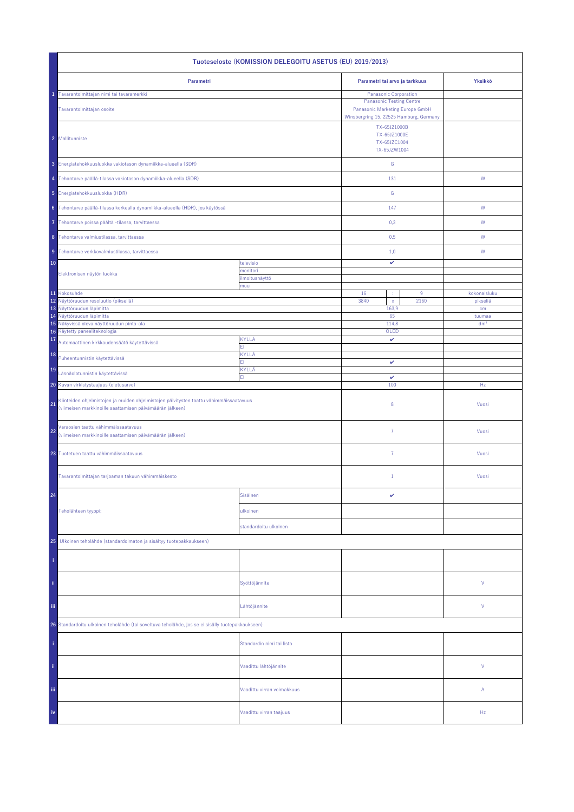| Tuoteseloste (KOMISSION DELEGOITU ASETUS (EU) 2019/2013)                                                                                                 |                            |                                                                                                                                        |                           |  |  |
|----------------------------------------------------------------------------------------------------------------------------------------------------------|----------------------------|----------------------------------------------------------------------------------------------------------------------------------------|---------------------------|--|--|
| Parametri                                                                                                                                                |                            | Parametri tai arvo ja tarkkuus                                                                                                         | Yksikkö                   |  |  |
| Tavarantoimittajan nimi tai tavaramerkki<br>Tavarantoimittajan osoite                                                                                    |                            | Panasonic Corporation<br><b>Panasonic Testing Centre</b><br>Panasonic Marketing Europe GmbH<br>Winsbergring 15, 22525 Hamburg, Germany |                           |  |  |
| 2 Mallitunniste                                                                                                                                          |                            | TX-65JZ1000B<br>TX-65JZ1000E<br>TX-65JZC1004<br>TX-65JZW1004                                                                           |                           |  |  |
| 3 Energiatehokkuusluokka vakiotason dynamiikka-alueella (SDR)                                                                                            |                            | G                                                                                                                                      |                           |  |  |
| 4 Tehontarve päällä-tilassa vakiotason dynamiikka-alueella (SDR)                                                                                         |                            | 131                                                                                                                                    | W                         |  |  |
| 5 Energiatehokkuusluokka (HDR)                                                                                                                           |                            | ${\mathsf G}$                                                                                                                          |                           |  |  |
| 6 Tehontarve päällä-tilassa korkealla dynamiikka-alueella (HDR), jos käytössä                                                                            |                            | 147                                                                                                                                    | ${\sf W}$                 |  |  |
| Tehontarve poissa päältä -tilassa, tarvittaessa<br>7                                                                                                     |                            | 0,3                                                                                                                                    | W                         |  |  |
| 8 Tehontarve valmiustilassa, tarvittaessa                                                                                                                |                            | 0,5                                                                                                                                    | W                         |  |  |
| 9 Tehontarve verkkovalmiustilassa, tarvittaessa                                                                                                          |                            | 1,0                                                                                                                                    | W                         |  |  |
| 10                                                                                                                                                       | televisio<br>monitori      | v                                                                                                                                      |                           |  |  |
| Elektronisen näytön luokka                                                                                                                               | ilmoitusnäyttö<br>muu      |                                                                                                                                        |                           |  |  |
| 11 Kokosuhde                                                                                                                                             |                            | 16<br>9<br>÷                                                                                                                           | kokonaisluku              |  |  |
| 12 Näyttöruudun resoluutio (pikseliä)<br>13 Näyttöruudun läpimitta                                                                                       |                            | 3840<br>2160<br>$\bar{\mathsf{x}}$<br>163,9                                                                                            | pikseliä<br>cm            |  |  |
| 14 Näyttöruudun läpimitta<br>15 Näkyvissä oleva näyttöruudun pinta-ala                                                                                   |                            | 65<br>114,8                                                                                                                            | tuumaa<br>dm <sup>2</sup> |  |  |
| Käytetty paneeliteknologia<br>16                                                                                                                         |                            | OLED                                                                                                                                   |                           |  |  |
| 17<br>Automaattinen kirkkaudensäätö käytettävissä                                                                                                        | KYLLÄ<br>FI.               | $\checkmark$                                                                                                                           |                           |  |  |
| 18<br>Puheentunnistin käytettävissä                                                                                                                      | KYLLÄ<br>FI                | v                                                                                                                                      |                           |  |  |
| 19<br>Läsnäolotunnistin käytettävissä                                                                                                                    | KYLLÄ<br>ΕIΙ               | v                                                                                                                                      |                           |  |  |
| Kuvan virkistystaajuus (oletusarvo)<br>20                                                                                                                |                            | 100                                                                                                                                    | Hz                        |  |  |
| Kiinteiden ohjelmistojen ja muiden ohjelmistojen päivitysten taattu vähimmäissaatavuus<br>21<br>(viimeisen markkinoille saattamisen päivämäärän jälkeen) |                            | 8                                                                                                                                      | Vuosi                     |  |  |
| Varaosien taattu vähimmäissaatavuus<br>22<br>(viimeisen markkinoille saattamisen päivämäärän jälkeen)                                                    |                            | 7                                                                                                                                      | Vuosi                     |  |  |
| 23 Tuotetuen taattu vähimmäissaatavuus                                                                                                                   |                            | $\overline{7}$                                                                                                                         | Vuosi                     |  |  |
| Tavarantoimittajan tarjoaman takuun vähimmäiskesto                                                                                                       |                            | $\mathbf{1}$                                                                                                                           | Vuosi                     |  |  |
| 24                                                                                                                                                       | Sisäinen                   | v                                                                                                                                      |                           |  |  |
| Teholähteen tyyppi:                                                                                                                                      | ulkoinen                   |                                                                                                                                        |                           |  |  |
|                                                                                                                                                          | standardoitu ulkoinen      |                                                                                                                                        |                           |  |  |
| Ulkoinen teholähde (standardoimaton ja sisältyy tuotepakkaukseen)<br>25                                                                                  |                            |                                                                                                                                        |                           |  |  |
|                                                                                                                                                          |                            |                                                                                                                                        |                           |  |  |
| ii.                                                                                                                                                      | Syöttöjännite              |                                                                                                                                        | V                         |  |  |
| Ϊij                                                                                                                                                      | Lähtöjännite               |                                                                                                                                        | V                         |  |  |
| 26 Standardoitu ulkoinen teholähde (tai soveltuva teholähde, jos se ei sisälly tuotepakkaukseen)                                                         |                            |                                                                                                                                        |                           |  |  |
|                                                                                                                                                          | Standardin nimi tai lista  |                                                                                                                                        |                           |  |  |
| ii.                                                                                                                                                      | Vaadittu lähtöjännite      |                                                                                                                                        | V                         |  |  |
| Ϊij                                                                                                                                                      | Vaadittu virran voimakkuus |                                                                                                                                        | A                         |  |  |
| iv                                                                                                                                                       | Vaadittu virran taajuus    |                                                                                                                                        | Hz                        |  |  |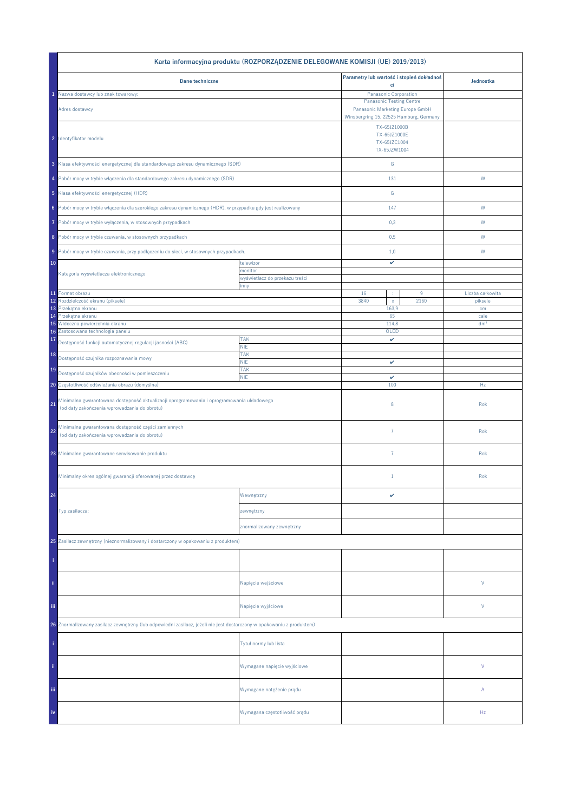|                                                                                                                                           | Karta informacyjna produktu (ROZPORZĄDZENIE DELEGOWANE KOMISJI (UE) 2019/2013) |                                                                    |      |                         |
|-------------------------------------------------------------------------------------------------------------------------------------------|--------------------------------------------------------------------------------|--------------------------------------------------------------------|------|-------------------------|
| Dane techniczne                                                                                                                           |                                                                                | Parametry lub wartość i stopień dokładnoś                          |      | Jednostka               |
| Nazwa dostawcy lub znak towarowy:                                                                                                         |                                                                                | ci<br>Panasonic Corporation                                        |      |                         |
| Adres dostawcy                                                                                                                            |                                                                                | <b>Panasonic Testing Centre</b><br>Panasonic Marketing Europe GmbH |      |                         |
|                                                                                                                                           |                                                                                | Winsbergring 15, 22525 Hamburg, Germany                            |      |                         |
| 2 Identyfikator modelu                                                                                                                    |                                                                                | TX-65JZ1000B<br>TX-65JZ1000E<br>TX-65JZC1004<br>TX-65JZW1004       |      |                         |
| 3 Klasa efektywności energetycznej dla standardowego zakresu dynamicznego (SDR)                                                           |                                                                                | ${\mathsf G}$                                                      |      |                         |
| 4 Pobór mocy w trybie włączenia dla standardowego zakresu dynamicznego (SDR)                                                              |                                                                                | 131                                                                |      | W                       |
| 5 Klasa efektywności energetycznej (HDR)                                                                                                  |                                                                                | ${\mathbb G}$                                                      |      |                         |
| 6 Pobór mocy w trybie włączenia dla szerokiego zakresu dynamicznego (HDR), w przypadku gdy jest realizowany                               |                                                                                | 147                                                                |      | W                       |
| Pobór mocy w trybie wyłączenia, w stosownych przypadkach<br>7                                                                             |                                                                                | 0,3                                                                |      | W                       |
| 8 Pobór mocy w trybie czuwania, w stosownych przypadkach                                                                                  |                                                                                | 0,5                                                                |      | W                       |
| 9 Pobór mocy w trybie czuwania, przy podłączeniu do sieci, w stosownych przypadkach.                                                      |                                                                                | 1,0                                                                |      | W                       |
| 10                                                                                                                                        | telewizor<br>monitor                                                           | v                                                                  |      |                         |
| Kategoria wyświetlacza elektronicznego                                                                                                    | wyświetlacz do przekazu treści                                                 |                                                                    |      |                         |
| 11 Format obrazu                                                                                                                          | inny                                                                           | 16<br>÷                                                            | 9    | Liczba całkowita        |
| Rozdzielczość ekranu (piksele)<br>12                                                                                                      |                                                                                | 3840<br>$\mathsf X$                                                | 2160 | piksele                 |
| Przekątna ekranu<br>13                                                                                                                    |                                                                                | 163,9                                                              |      | cm                      |
| Przekątna ekranu<br>14<br>Widoczna powierzchnia ekranu<br>15                                                                              |                                                                                | 65<br>114,8                                                        |      | cale<br>dm <sup>2</sup> |
| Zastosowana technologia panelu<br>16                                                                                                      |                                                                                | OLED                                                               |      |                         |
| 17<br>Dostępność funkcji automatycznej regulacji jasności (ABC)                                                                           | <b>TAK</b><br><b>NIE</b>                                                       | v                                                                  |      |                         |
| 18<br>Dostępność czujnika rozpoznawania mowy                                                                                              | <b>TAK</b><br><b>NIE</b>                                                       | v                                                                  |      |                         |
| 19<br>Dostępność czujników obecności w pomieszczeniu                                                                                      | <b>TAK</b>                                                                     |                                                                    |      |                         |
| 20 Częstotliwość odświeżania obrazu (domyślna)                                                                                            | <b>NIE</b>                                                                     | v<br>100                                                           |      | Hz                      |
| Minimalna gwarantowana dostępność aktualizacji oprogramowania i oprogramowania układowego<br>(od daty zakończenia wprowadzania do obrotu) |                                                                                | 8                                                                  |      | Rok                     |
| Minimalna gwarantowana dostępność części zamiennych<br>22<br>(od daty zakończenia wprowadzania do obrotu)                                 |                                                                                | $\overline{7}$                                                     |      | Rok                     |
| 23 Minimalne gwarantowane serwisowanie produktu                                                                                           |                                                                                | $\overline{7}$                                                     |      | Rok                     |
| Minimalny okres ogólnej gwarancji oferowanej przez dostawcę                                                                               |                                                                                | $1\,$                                                              |      | Rok                     |
| 24                                                                                                                                        | Wewnętrzny                                                                     | v                                                                  |      |                         |
| Typ zasilacza:                                                                                                                            | zewnętrzny                                                                     |                                                                    |      |                         |
|                                                                                                                                           | znormalizowany zewnętrzny                                                      |                                                                    |      |                         |
| 25 Zasilacz zewnętrzny (nieznormalizowany i dostarczony w opakowaniu z produktem)                                                         |                                                                                |                                                                    |      |                         |
|                                                                                                                                           |                                                                                |                                                                    |      |                         |
| ii.                                                                                                                                       | Napięcie wejściowe                                                             |                                                                    |      | V                       |
| iii.                                                                                                                                      | Napięcie wyjściowe                                                             |                                                                    |      | V                       |
| 26 Znormalizowany zasilacz zewnętrzny (lub odpowiedni zasilacz, jeżeli nie jest dostarczony w opakowaniu z produktem)                     |                                                                                |                                                                    |      |                         |
|                                                                                                                                           | Tytuł normy lub lista                                                          |                                                                    |      |                         |
| ii.                                                                                                                                       | Wymagane napięcie wyjściowe                                                    |                                                                    |      | V                       |
| Ϊij                                                                                                                                       | Wymagane natężenie prądu                                                       |                                                                    |      | Α                       |
| iv                                                                                                                                        | Wymagana częstotliwość prądu                                                   |                                                                    |      | Hz                      |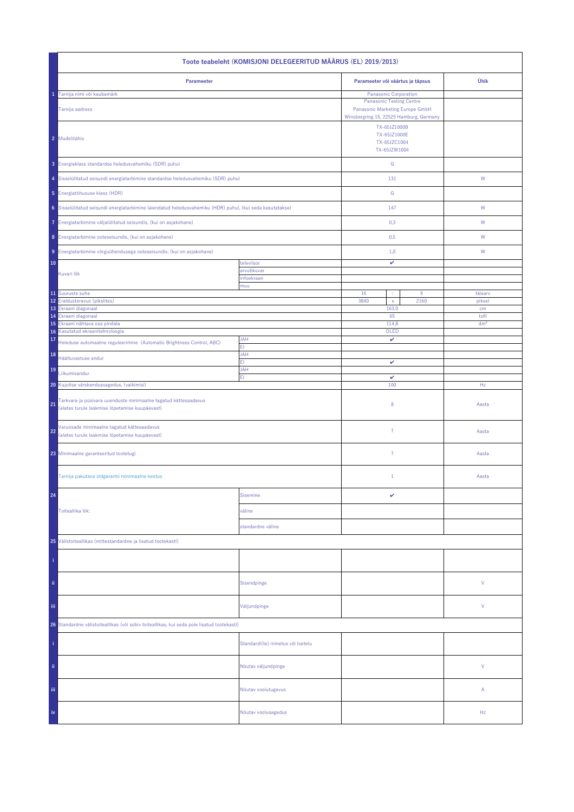| Toote teabeleht (KOMISJONI DELEGEERITUD MÄÄRUS (EL) 2019/2013)                                                          |                                   |                                                                                                                                        |      |                 |  |
|-------------------------------------------------------------------------------------------------------------------------|-----------------------------------|----------------------------------------------------------------------------------------------------------------------------------------|------|-----------------|--|
| Parameeter                                                                                                              |                                   | Parameeter või väärtus ja täpsus                                                                                                       | Ühik |                 |  |
| Tarnija nimi või kaubamärk<br>Tarnija aadress                                                                           |                                   | Panasonic Corporation<br><b>Panasonic Testing Centre</b><br>Panasonic Marketing Europe GmbH<br>Winsbergring 15, 22525 Hamburg, Germany |      |                 |  |
| 2 Mudelitähis                                                                                                           |                                   | TX-65JZ1000B<br>TX-65JZ1000E<br>TX-65JZC1004<br>TX-65JZW1004                                                                           |      |                 |  |
| 3 Energiaklass standardse heledusvahemiku (SDR) puhul                                                                   |                                   | ${\mathsf G}$                                                                                                                          |      |                 |  |
| 4 Sisselülitatud seisundi energiatarbimine standardse heledusvahemiku (SDR) puhul                                       |                                   | 131                                                                                                                                    |      | W               |  |
| 5 Energiatõhususe klass (HDR)                                                                                           |                                   | ${\mathsf G}$                                                                                                                          |      |                 |  |
| 6 Sisselülitatud seisundi energiatarbimine laiendatud heledusvahemiku (HDR) puhul, (kui seda kasutatakse)               |                                   | 147                                                                                                                                    |      | W               |  |
| 7 Energiatarbimine väljalülitatud seisundis, (kui on asjakohane)                                                        |                                   | 0,3                                                                                                                                    |      | W               |  |
| 8 Energiatarbimine ooteseisundis, (kui on asjakohane)                                                                   |                                   | 0,5                                                                                                                                    |      | W               |  |
| 9 Energiatarbimine võrguühendusega ooteseisundis, (kui on asjakohane)                                                   |                                   | 1,0                                                                                                                                    |      | W               |  |
| 10                                                                                                                      | televiisor                        | v                                                                                                                                      |      |                 |  |
| Kuvari liik                                                                                                             | arvutikuvar<br>infoekraan         |                                                                                                                                        |      |                 |  |
| 11 Suuruste suhe                                                                                                        | muu                               | 16                                                                                                                                     | 9    | täisarv         |  |
| 12 Eraldusteravus (pikslites)<br>13 Ekraani diagonaal                                                                   |                                   | 3840<br>$\bar{\mathbf{x}}$<br>163,9                                                                                                    | 2160 | piksel<br>cm    |  |
| Ekraani diagonaal<br>14                                                                                                 |                                   | 65                                                                                                                                     |      | tolli           |  |
| 15<br>Ekraani nähtava osa pindala<br>Kasutatud ekraanitehnoloogia<br>16                                                 |                                   | 114,8<br>OLED                                                                                                                          |      | dm <sup>2</sup> |  |
| 17<br>Heleduse automaatne reguleerimine (Automatic Brightness Control, ABC)                                             | <b>JAH</b><br>ΕI                  | v                                                                                                                                      |      |                 |  |
| 18<br>Häältuvastuse andur                                                                                               | <b>JAH</b><br>FI.                 | v                                                                                                                                      |      |                 |  |
| 19<br>Liikumisandur                                                                                                     | JAH<br>EI.                        | $\checkmark$                                                                                                                           |      |                 |  |
| 20 Kujutise värskendussagedus, (vaikimisi)                                                                              |                                   | 100                                                                                                                                    |      | Hz              |  |
| Tarkvara ja püsivara uuenduste minimaalne tagatud kättesaadavus<br>21<br>(alates turule laskmise lõpetamise kuupäevast) |                                   | 8                                                                                                                                      |      | Aasta           |  |
| Varuosade minimaalne tagatud kättesaadavus<br>22<br>(alates turule laskmise lõpetamise kuupäevast)                      |                                   | $\overline{7}$                                                                                                                         |      | Aasta           |  |
| 23 Minimaalne garanteeritud tootetugi                                                                                   |                                   | 7                                                                                                                                      |      | Aasta           |  |
| Tarnija pakutava üldgarantii minimaalne kestus                                                                          |                                   | $\mathbf{1}$                                                                                                                           |      | Aasta           |  |
| 24                                                                                                                      | <b>Sisemine</b>                   | v                                                                                                                                      |      |                 |  |
| Toiteallika liik:                                                                                                       | väline                            |                                                                                                                                        |      |                 |  |
|                                                                                                                         | standardne väline                 |                                                                                                                                        |      |                 |  |
| 25 Välistoiteallikas (mittestandardne ja lisatud tootekasti)                                                            |                                   |                                                                                                                                        |      |                 |  |
|                                                                                                                         |                                   |                                                                                                                                        |      |                 |  |
| ii.                                                                                                                     | Sisendpinge                       |                                                                                                                                        |      | ٧               |  |
| iij                                                                                                                     | Väljundpinge                      |                                                                                                                                        |      | ٧               |  |
| 26 Standardne välistoiteallikas (või sobiv toiteallikas, kui seda pole lisatud tootekasti)                              |                                   |                                                                                                                                        |      |                 |  |
|                                                                                                                         | Standardi(te) nimetus või loetelu |                                                                                                                                        |      |                 |  |
| ii.                                                                                                                     | Nõutav väljundpinge               |                                                                                                                                        |      | V               |  |
| Ϊij                                                                                                                     | Nõutav voolutugevus               |                                                                                                                                        |      | Α               |  |
| iv                                                                                                                      | Nõutav voolusagedus               |                                                                                                                                        |      | Hz              |  |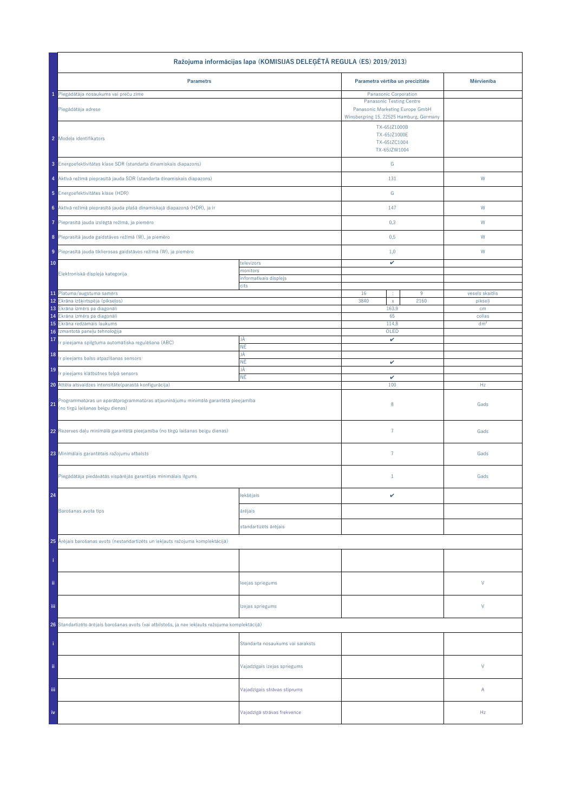| Ražojuma informācijas lapa (KOMISIJAS DELEĢĒTĀ REGULA (ES) 2019/2013)                                                        |                                    |                                                                                                               |      |                 |  |
|------------------------------------------------------------------------------------------------------------------------------|------------------------------------|---------------------------------------------------------------------------------------------------------------|------|-----------------|--|
| <b>Parametrs</b>                                                                                                             |                                    | Parametra vērtība un precizitāte                                                                              |      | Mērvienība      |  |
| 1 Piegādātāja nosaukums vai preču zīme                                                                                       |                                    | Panasonic Corporation                                                                                         |      |                 |  |
| Piegādātāja adrese                                                                                                           |                                    | <b>Panasonic Testing Centre</b><br>Panasonic Marketing Europe GmbH<br>Winsbergring 15, 22525 Hamburg, Germany |      |                 |  |
| 2 Modeļa identifikators                                                                                                      |                                    | TX-65JZ1000B<br>TX-65JZ1000E<br>TX-65JZC1004<br>TX-65JZW1004                                                  |      |                 |  |
| 3 Energoefektivitätes klase SDR (standarta dinamiskais diapazons)                                                            |                                    | ${\mathsf G}$                                                                                                 |      |                 |  |
| 4 Aktīvā režīmā pieprasītā jauda SDR (standarta dinamiskais diapazons)                                                       |                                    | 131                                                                                                           |      | W               |  |
| 5 Energoefektivitätes klase (HDR)                                                                                            |                                    | G                                                                                                             |      |                 |  |
| 6 Aktīvā režīmā pieprasītā jauda plašā dinamiskajā diapazonā (HDR), ja ir                                                    |                                    | 147                                                                                                           |      | ${\mathsf W}$   |  |
| Pieprasītā jauda izslēgtā režīmā, ja piemēro                                                                                 |                                    | 0,3                                                                                                           |      | W               |  |
| 8 Pieprasītā jauda gaidstāves režīmā (W), ja piemēro                                                                         |                                    | 0,5                                                                                                           |      | W               |  |
| 9 Pieprasītā jauda tīklierosas gaidstāves režīmā (W), ja piemēro                                                             |                                    | 1,0                                                                                                           |      | W               |  |
| 10                                                                                                                           | televizors                         | v                                                                                                             |      |                 |  |
| Elektroniskā displeja kategorija                                                                                             | monitors<br>informatīvais displejs |                                                                                                               |      |                 |  |
|                                                                                                                              | cits                               |                                                                                                               |      |                 |  |
| 11 Platuma/augstuma samērs                                                                                                   |                                    | 16                                                                                                            | 9    | vesels skaitlis |  |
| 12 Ekrāna izšķirtspēja (pikseļos)<br>13 Ekrâna izmêrs pa diagonâli                                                           |                                    | 3840<br>$\bar{\mathbf{x}}$<br>163,9                                                                           | 2160 | pikseļi<br>cm   |  |
| 14 Ekrâna izmêrs pa diagonâli                                                                                                |                                    | 65                                                                                                            |      | collas          |  |
| Ekrāna redzamais laukums<br>15                                                                                               |                                    | 114,8                                                                                                         |      | dm <sup>2</sup> |  |
| Izmantotā paneļu tehnoloģija<br>16<br>17                                                                                     | JĀ                                 | OLED<br>v                                                                                                     |      |                 |  |
| Ir pieejama spilgtuma automātiska regulēšana (ABC)<br>18                                                                     | ΝĒ<br>JĀ                           |                                                                                                               |      |                 |  |
| r pieejams balss atpazīšanas sensors<br>19                                                                                   | ΝĒ<br>JĀ                           | v                                                                                                             |      |                 |  |
| Ir pieejams klātbūtnes telpā sensors                                                                                         | ΝĒ                                 | v                                                                                                             |      |                 |  |
| 20 Attēla atsvaidzes intensitāte (parastā konfigurācija)                                                                     |                                    | 100                                                                                                           |      | Hz              |  |
| Programmatūras un aparātprogrammatūras atjauninājumu minimālā garantētā pieejamība<br>21<br>(no tirgū laišanas beigu dienas) |                                    | 8                                                                                                             |      | Gads            |  |
| 22 Rezerves daļu minimālā garantētā pieejamība (no tirgū laišanas beigu dienas)                                              |                                    | $\overline{7}$                                                                                                |      | Gads            |  |
| 23 Minimālais garantētais ražojumu atbalsts                                                                                  |                                    | $\overline{7}$                                                                                                |      | Gads            |  |
| Piegādātāja piedāvātās vispārējās garantijas minimālais ilgums                                                               |                                    | $\mathbf{1}$                                                                                                  |      | Gads            |  |
| 24                                                                                                                           | lekšējais                          | v                                                                                                             |      |                 |  |
| Barošanas avota tips                                                                                                         | ārējais                            |                                                                                                               |      |                 |  |
|                                                                                                                              | standartizēts ārējais              |                                                                                                               |      |                 |  |
| 25 Ārējais barošanas avots (nestandartizēts un iekļauts ražojuma komplektācijā)                                              |                                    |                                                                                                               |      |                 |  |
|                                                                                                                              |                                    |                                                                                                               |      |                 |  |
| ii.                                                                                                                          | leejas spriegums                   |                                                                                                               |      | V               |  |
| Ϊij                                                                                                                          | Izejas spriegums                   |                                                                                                               |      | V               |  |
| 26 Standartizēts ārējais barošanas avots (vai atbilstošs, ja nav iekļauts ražojuma komplektācijā)                            |                                    |                                                                                                               |      |                 |  |
|                                                                                                                              | Standarta nosaukums vai saraksts   |                                                                                                               |      |                 |  |
| ii.                                                                                                                          | Vajadzīgais izejas spriegums       |                                                                                                               |      | $\vee$          |  |
| Ϊij                                                                                                                          | Vajadzīgais strāvas stiprums       |                                                                                                               |      | А               |  |
| iv                                                                                                                           | Vajadzīgā strāvas frekvence        |                                                                                                               |      | Hz              |  |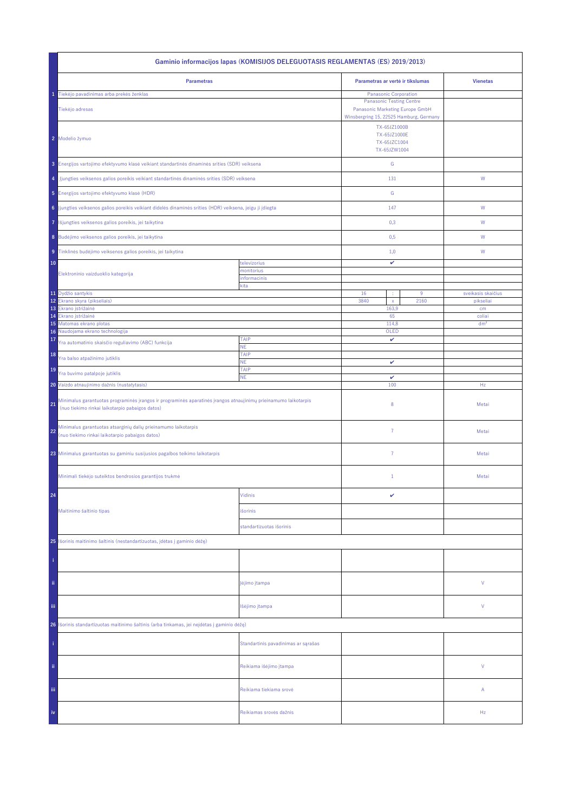| Gaminio informacijos lapas (KOMISIJOS DELEGUOTASIS REGLAMENTAS (ES) 2019/2013)                                                                                           |                                     |                                                                                                               |                    |  |  |
|--------------------------------------------------------------------------------------------------------------------------------------------------------------------------|-------------------------------------|---------------------------------------------------------------------------------------------------------------|--------------------|--|--|
| <b>Parametras</b>                                                                                                                                                        |                                     | Parametras ar vertė ir tikslumas                                                                              | <b>Vienetas</b>    |  |  |
| Tiekėjo pavadinimas arba prekės ženklas<br>1                                                                                                                             |                                     | Panasonic Corporation                                                                                         |                    |  |  |
| Tiekėjo adresas                                                                                                                                                          |                                     | <b>Panasonic Testing Centre</b><br>Panasonic Marketing Europe GmbH<br>Winsbergring 15, 22525 Hamburg, Germany |                    |  |  |
| 2 Modelio žymuo                                                                                                                                                          |                                     | TX-65JZ1000B<br>TX-65JZ1000E<br>TX-65JZC1004<br>TX-65JZW1004                                                  |                    |  |  |
| 3 Energijos vartojimo efektyvumo klasė veikiant standartinės dinaminės srities (SDR) veiksena                                                                            |                                     | ${\mathbb G}$                                                                                                 |                    |  |  |
| Jjungties veiksenos galios poreikis veikiant standartinės dinaminės srities (SDR) veiksena<br>4                                                                          |                                     | 131                                                                                                           | W                  |  |  |
| 5 Energijos vartojimo efektyvumo klasė (HDR)                                                                                                                             |                                     | ${\mathbb G}$                                                                                                 |                    |  |  |
| 6 Jjungties veiksenos galios poreikis veikiant didelės dinaminės srities (HDR) veiksena, jeigu ji įdiegta                                                                |                                     | 147                                                                                                           | ${\sf W}$          |  |  |
| Išjungties veiksenos galios poreikis, jei taikytina<br>7                                                                                                                 |                                     | 0,3                                                                                                           | W                  |  |  |
| 8 Budėjimo veiksenos galios poreikis, jei taikytina                                                                                                                      |                                     | 0,5                                                                                                           | W                  |  |  |
| 9 Tinklinės budėjimo veiksenos galios poreikis, jei taikytina                                                                                                            |                                     | 1,0                                                                                                           | W                  |  |  |
| 10                                                                                                                                                                       | televizorius                        | v                                                                                                             |                    |  |  |
| Elektroninio vaizduoklio kategorija                                                                                                                                      | monitorius                          |                                                                                                               |                    |  |  |
|                                                                                                                                                                          | informacinis<br>kita                |                                                                                                               |                    |  |  |
| 11 Dydžio santykis                                                                                                                                                       |                                     | 16<br>$9\,$                                                                                                   | sveikasis skaičius |  |  |
| 12<br>Ekrano skyra (pikseliais)                                                                                                                                          |                                     | 3840<br>2160<br>$\mathsf X$                                                                                   | pikseliai          |  |  |
| 13<br>Ekrano įstrižainė<br>Ekrano įstrižainė<br>14                                                                                                                       |                                     | 163,9<br>65                                                                                                   | cm<br>coliai       |  |  |
| 15<br>Matomas ekrano plotas                                                                                                                                              |                                     | 114,8                                                                                                         | dm <sup>2</sup>    |  |  |
| Naudojama ekrano technologija<br>16 <sup>°</sup>                                                                                                                         |                                     | OLED                                                                                                          |                    |  |  |
| 17<br>Yra automatinio skaisčio reguliavimo (ABC) funkcija                                                                                                                | <b>TAIP</b><br><b>NE</b>            | v                                                                                                             |                    |  |  |
| 18<br>Yra balso atpažinimo jutiklis                                                                                                                                      | TAIP<br><b>NE</b>                   | v                                                                                                             |                    |  |  |
| 19<br>Yra buvimo patalpoje jutiklis                                                                                                                                      | TAIP<br><b>NE</b>                   | $\checkmark$                                                                                                  |                    |  |  |
| 20 Vaizdo atnaujinimo dažnis (nustatytasis)                                                                                                                              |                                     | 100                                                                                                           | Hz                 |  |  |
| Minimalus garantuotas programinės įrangos ir programinės aparatinės įrangos atnaujinimų prieinamumo laikotarpis<br>21<br>(nuo tiekimo rinkai laikotarpio pabaigos datos) |                                     | 8                                                                                                             | Metai              |  |  |
| Minimalus garantuotas atsarginių dalių prieinamumo laikotarpis<br>22<br>(nuo tiekimo rinkai laikotarpio pabaigos datos)                                                  |                                     | $\overline{7}$                                                                                                | Metai              |  |  |
| 23 Minimalus garantuotas su gaminiu susijusios pagalbos teikimo laikotarpis                                                                                              |                                     | 7                                                                                                             | Metai              |  |  |
| Minimali tiekėjo suteiktos bendrosios garantijos trukmė                                                                                                                  |                                     | $\mathbf{1}$                                                                                                  | Metai              |  |  |
| 24                                                                                                                                                                       | Vidinis                             | v                                                                                                             |                    |  |  |
| Maitinimo šaltinio tipas                                                                                                                                                 | išorinis                            |                                                                                                               |                    |  |  |
|                                                                                                                                                                          | standartizuotas išorinis            |                                                                                                               |                    |  |  |
| 25 Išorinis maitinimo šaltinis (nestandartizuotas, įdėtas į gaminio dėžę)                                                                                                |                                     |                                                                                                               |                    |  |  |
|                                                                                                                                                                          |                                     |                                                                                                               |                    |  |  |
| ii.                                                                                                                                                                      | Įėjimo įtampa                       |                                                                                                               | V                  |  |  |
| Ϊij                                                                                                                                                                      | lšėjimo įtampa                      |                                                                                                               | V                  |  |  |
| 26 Išorinis standartizuotas maitinimo šaltinis (arba tinkamas, jei neįdėtas į gaminio dėžę)                                                                              |                                     |                                                                                                               |                    |  |  |
|                                                                                                                                                                          | Standartinis pavadinimas ar sąrašas |                                                                                                               |                    |  |  |
| ii.                                                                                                                                                                      | Reikiama išėjimo įtampa             |                                                                                                               | V                  |  |  |
| Ϊij                                                                                                                                                                      | Reikiama tiekiama srovė             |                                                                                                               | Α                  |  |  |
| iv                                                                                                                                                                       | Reikiamas srovės dažnis             |                                                                                                               | Hz                 |  |  |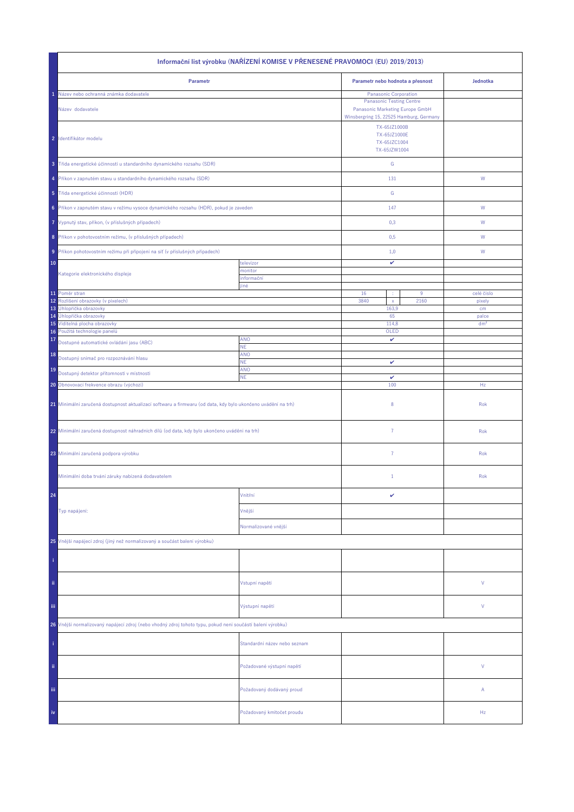| Informační list výrobku (NAŘÍZENÍ KOMISE V PŘENESENÉ PRAVOMOCI (EU) 2019/2013)                               |                              |                                                                                                                                        |                                  |                 |  |
|--------------------------------------------------------------------------------------------------------------|------------------------------|----------------------------------------------------------------------------------------------------------------------------------------|----------------------------------|-----------------|--|
| Parametr                                                                                                     |                              |                                                                                                                                        | Parametr nebo hodnota a přesnost | Jednotka        |  |
| Název nebo ochranná známka dodavatele<br>Název dodavatele                                                    |                              | Panasonic Corporation<br><b>Panasonic Testing Centre</b><br>Panasonic Marketing Europe GmbH<br>Winsbergring 15, 22525 Hamburg, Germany |                                  |                 |  |
| 2 Identifikátor modelu                                                                                       |                              | TX-65JZ1000B<br>TX-65JZ1000E<br>TX-65JZC1004<br>TX-65JZW1004                                                                           |                                  |                 |  |
| 3 Třída energetické účinnosti u standardního dynamického rozsahu (SDR)                                       |                              | ${\mathsf G}$                                                                                                                          |                                  |                 |  |
| 4 Příkon v zapnutém stavu u standardního dynamického rozsahu (SDR)                                           |                              | 131                                                                                                                                    |                                  | ${\mathsf W}$   |  |
| 5 Třída energetické účinnosti (HDR)                                                                          |                              | G                                                                                                                                      |                                  |                 |  |
| 6 Příkon v zapnutém stavu v režimu vysoce dynamického rozsahu (HDR), pokud je zaveden                        |                              | 147                                                                                                                                    |                                  | W               |  |
| 7 Vypnutý stav, příkon, (v příslušných případech)                                                            |                              | 0,3                                                                                                                                    |                                  | W               |  |
| 8 Příkon v pohotovostním režimu, (v příslušných případech)                                                   |                              | 0,5                                                                                                                                    |                                  | W               |  |
| 9 Příkon pohotovostním režimu při připojení na síť (v příslušných případech)                                 |                              | 1,0                                                                                                                                    |                                  | W               |  |
| 10                                                                                                           | televizor<br>monitor         | v                                                                                                                                      |                                  |                 |  |
| Kategorie elektronického displeje                                                                            | informační<br>jiné           |                                                                                                                                        |                                  |                 |  |
| 11 Poměr stran                                                                                               |                              | 16<br>÷                                                                                                                                | 9                                | celé číslo      |  |
| 12<br>Rozlišení obrazovky (v pixelech)                                                                       |                              | 3840<br>$\mathsf{x}$<br>163,9                                                                                                          | 2160                             | pixely          |  |
| 13 Úhlopříčka obrazovky<br>14 Úhlopříčka obrazovky                                                           |                              | 65                                                                                                                                     |                                  | cm<br>palce     |  |
| 15 Viditelná plocha obrazovky                                                                                |                              | 114,8                                                                                                                                  |                                  | dm <sup>2</sup> |  |
| Použitá technologie panelů<br>16<br>17                                                                       | <b>ANO</b>                   | OLED<br>v                                                                                                                              |                                  |                 |  |
| Dostupné automatické ovládání jasu (ABC)                                                                     | NE.                          |                                                                                                                                        |                                  |                 |  |
| 18<br>Dostupný snímač pro rozpoznávání hlasu                                                                 | ANO<br>ΝE.                   | v                                                                                                                                      |                                  |                 |  |
| 19<br>Dostupný detektor přítomnosti v místnosti                                                              | ANO                          | $\checkmark$                                                                                                                           |                                  |                 |  |
| <b>NE</b><br>20 Obnovovací frekvence obrazu (výchozí)                                                        |                              | 100                                                                                                                                    |                                  | Hz              |  |
| 21 Minimální zaručená dostupnost aktualizací softwaru a firmwaru (od data, kdy bylo ukončeno uvádění na trh) |                              | 8                                                                                                                                      |                                  | Rok             |  |
| 22 Minimální zaručená dostupnost náhradních dílů (od data, kdy bylo ukončeno uvádění na trh)                 |                              | $\overline{7}$                                                                                                                         |                                  | Rok             |  |
| 23 Minimální zaručená podpora výrobku                                                                        |                              | $\overline{7}$                                                                                                                         |                                  | Rok             |  |
| Minimální doba trvání záruky nabízená dodavatelem                                                            |                              | $\mathbf{1}$                                                                                                                           |                                  | Rok             |  |
| 24                                                                                                           | Vnitřní                      | v                                                                                                                                      |                                  |                 |  |
| Typ napájení:                                                                                                | Vnější                       |                                                                                                                                        |                                  |                 |  |
|                                                                                                              | Normalizované vnější         |                                                                                                                                        |                                  |                 |  |
| 25 Vnější napájecí zdroj (jiný než normalizovaný a součást balení výrobku)                                   |                              |                                                                                                                                        |                                  |                 |  |
|                                                                                                              |                              |                                                                                                                                        |                                  |                 |  |
| ii.                                                                                                          | Vstupní napětí               |                                                                                                                                        |                                  | ٧               |  |
| Ϊij                                                                                                          | Výstupní napětí              |                                                                                                                                        |                                  | ٧               |  |
| 26 Vnější normalizovaný napájecí zdroj (nebo vhodný zdroj tohoto typu, pokud není součástí balení výrobku)   |                              |                                                                                                                                        |                                  |                 |  |
|                                                                                                              | Standardní název nebo seznam |                                                                                                                                        |                                  |                 |  |
| ii.                                                                                                          | Požadované výstupní napětí   |                                                                                                                                        |                                  | V               |  |
| Ϊij                                                                                                          | Požadovaný dodávaný proud    |                                                                                                                                        |                                  | Α               |  |
| iv                                                                                                           | Požadovaný kmitočet proudu   |                                                                                                                                        |                                  | Hz              |  |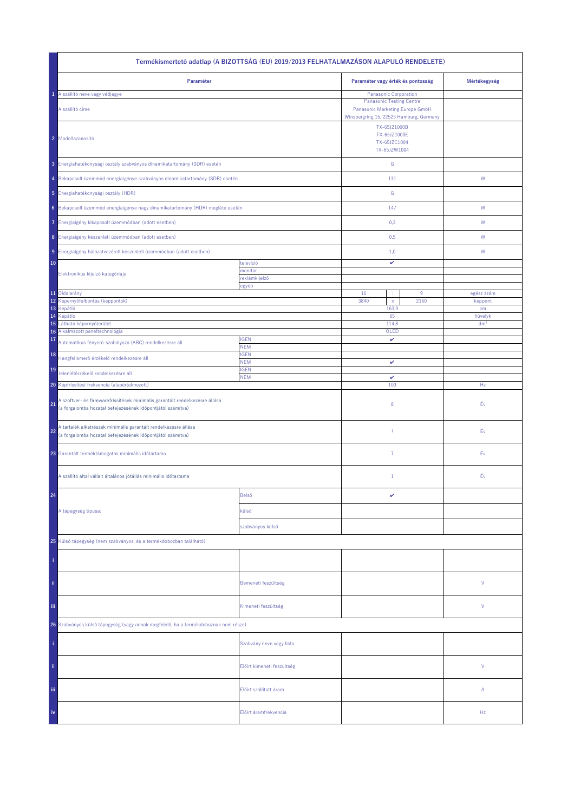| Termékismertető adatlap (A BIZOTTSÁG (EU) 2019/2013 FELHATALMAZÁSON ALAPULÓ RENDELETE)                                                          |                            |                                                                                                         |      |                 |  |  |
|-------------------------------------------------------------------------------------------------------------------------------------------------|----------------------------|---------------------------------------------------------------------------------------------------------|------|-----------------|--|--|
| Paraméter                                                                                                                                       |                            | Paraméter vagy érték és pontosság                                                                       |      | Mértékegység    |  |  |
| 1 A szállító neve vagy védjegye                                                                                                                 |                            | <b>Panasonic Corporation</b>                                                                            |      |                 |  |  |
| A szállító címe                                                                                                                                 |                            | <b>Panasonic Testing Centre</b><br>Panasonic Marketing Europe GmbH                                      |      |                 |  |  |
| 2 Modellazonosító                                                                                                                               |                            | Winsbergring 15, 22525 Hamburg, Germany<br>TX-65JZ1000B<br>TX-65JZ1000E<br>TX-65JZC1004<br>TX-65JZW1004 |      |                 |  |  |
| 3 Energiahatékonysági osztály szabványos dinamikatartomány (SDR) esetén                                                                         |                            | ${\mathsf G}$                                                                                           |      |                 |  |  |
| 4 Bekapcsolt üzemmód energiaigénye szabványos dinamikatartomány (SDR) esetén                                                                    |                            | 131                                                                                                     |      | ${\sf W}$       |  |  |
| 5 Energiahatékonysági osztály (HDR)                                                                                                             |                            | ${\mathbb G}$                                                                                           |      |                 |  |  |
| 6 Bekapcsolt üzemmód energiaigénye nagy dinamikatartomány (HDR) megléte esetén                                                                  |                            | 147                                                                                                     |      | ${\mathsf W}$   |  |  |
| Energiaigény kikapcsolt üzemmódban (adott esetben)<br>7.                                                                                        |                            | 0,3                                                                                                     |      | W               |  |  |
| 8 Energiaigény készenléti üzemmódban (adott esetben)                                                                                            |                            | 0,5                                                                                                     |      | W               |  |  |
| 9 Energiaigény hálózatvezérelt készenléti üzemmódban (adott esetben)                                                                            |                            | 1,0                                                                                                     |      | W               |  |  |
| 10                                                                                                                                              | televízió<br>monitor       | v                                                                                                       |      |                 |  |  |
| Elektronikus kijelző kategóriája                                                                                                                | reklámkijelző              |                                                                                                         |      |                 |  |  |
| 11 Oldalarány                                                                                                                                   | egyéb                      | 16<br>÷                                                                                                 | 9    | egész szám      |  |  |
| 12<br>Képernyőfelbontás (képpontok)                                                                                                             |                            | 3840<br>$\mathsf{x}$                                                                                    | 2160 | képpont         |  |  |
| 13<br>Képátló                                                                                                                                   |                            | 163,9                                                                                                   |      | cm              |  |  |
| 14<br>Képátló                                                                                                                                   |                            | 65                                                                                                      |      | hüvelyk         |  |  |
| 15<br>Látható képernyőterület<br>Alkalmazott paneltechnológia<br>16                                                                             |                            | 114,8<br>OLED                                                                                           |      | dm <sup>2</sup> |  |  |
| 17<br>Automatikus fényerő-szabályozó (ABC) rendelkezésre áll                                                                                    | <b>IGEN</b><br><b>NEM</b>  | v                                                                                                       |      |                 |  |  |
| 18<br>Hangfelismerő érzékelő rendelkezésre áll                                                                                                  | <b>IGEN</b><br><b>NEM</b>  | v                                                                                                       |      |                 |  |  |
| 19<br>Jelenlétérzékelő rendelkezésre áll                                                                                                        | <b>IGEN</b><br><b>NEM</b>  | v                                                                                                       |      |                 |  |  |
| 20 Képfrissítési frekvencia (alapértelmezett)                                                                                                   |                            | 100                                                                                                     |      | Hz              |  |  |
| A szoftver- és firmwarefrissítések minimális garantált rendelkezésre állása<br>21<br>(a forgalomba hozatal befejezésének időpontjától számítva) |                            | 8                                                                                                       |      | Év              |  |  |
| A tartalék alkatrészek minimális garantált rendelkezésre állása<br>22<br>(a forgalomba hozatal befejezésének időpontjától számítva)             |                            | 7                                                                                                       |      | Éν              |  |  |
| 23 Garantált terméktámogatás minimális időtartama                                                                                               |                            | $\overline{7}$                                                                                          |      | Éν              |  |  |
| A szállító által vállalt általános jótállás minimális időtartama                                                                                |                            | $\mathbf{1}$                                                                                            |      | Év              |  |  |
| 24                                                                                                                                              | Belső                      | v                                                                                                       |      |                 |  |  |
| A tápegység típusa:                                                                                                                             | külső                      |                                                                                                         |      |                 |  |  |
|                                                                                                                                                 | szabványos külső           |                                                                                                         |      |                 |  |  |
| 25 Külső tápegység (nem szabványos, és a termékdobozban található)                                                                              |                            |                                                                                                         |      |                 |  |  |
|                                                                                                                                                 |                            |                                                                                                         |      |                 |  |  |
| ii.                                                                                                                                             | Bemeneti feszültség        |                                                                                                         |      | V               |  |  |
| Ϊij                                                                                                                                             | Kimeneti feszültség        |                                                                                                         |      | V               |  |  |
| 26 Szabványos külső tápegység (vagy annak megfelelő, ha a termékdoboznak nem része)                                                             |                            |                                                                                                         |      |                 |  |  |
|                                                                                                                                                 | Szabvány neve vagy lista   |                                                                                                         |      |                 |  |  |
| ii.                                                                                                                                             | Előírt kimeneti feszültség |                                                                                                         |      | V               |  |  |
| Ϊij                                                                                                                                             | Előírt szállított áram     |                                                                                                         |      | Α               |  |  |
| iv                                                                                                                                              | Előírt áramfrekvencia      |                                                                                                         |      | Hz              |  |  |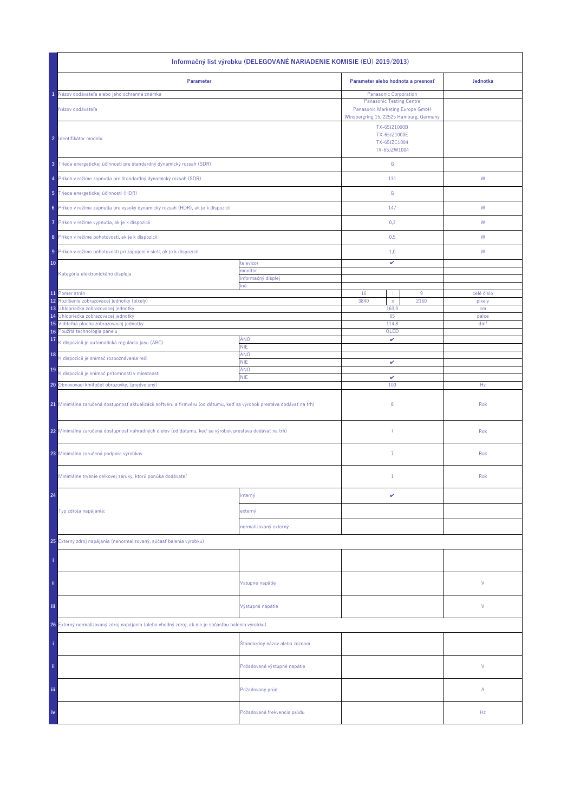| Informačný list výrobku (DELEGOVANÉ NARIADENIE KOMISIE (EÚ) 2019/2013)                                                |                               |                                                                                                               |                          |  |  |
|-----------------------------------------------------------------------------------------------------------------------|-------------------------------|---------------------------------------------------------------------------------------------------------------|--------------------------|--|--|
| Parameter                                                                                                             |                               | Parameter alebo hodnota a presnosť                                                                            | Jednotka                 |  |  |
| Názov dodávateľa alebo jeho ochranná známka                                                                           |                               | Panasonic Corporation                                                                                         |                          |  |  |
| Názov dodávateľa                                                                                                      |                               | <b>Panasonic Testing Centre</b><br>Panasonic Marketing Europe GmbH<br>Winsbergring 15, 22525 Hamburg, Germany |                          |  |  |
| 2 Identifikátor modelu                                                                                                |                               | TX-65JZ1000B<br>TX-65JZ1000E<br>TX-65JZC1004<br>TX-65JZW1004                                                  |                          |  |  |
| 3 Trieda energetickej účinnosti pre štandardný dynamický rozsah (SDR)                                                 |                               | ${\mathbb G}$                                                                                                 |                          |  |  |
| 4 Príkon v režime zapnutia pre štandardný dynamický rozsah (SDR)                                                      |                               | 131                                                                                                           | W                        |  |  |
| 5 Trieda energetickej účinnosti (HDR)                                                                                 |                               | ${\mathbb G}$                                                                                                 |                          |  |  |
| 6 Príkon v režime zapnutia pre vysoký dynamický rozsah (HDR), ak je k dispozícii                                      |                               | 147                                                                                                           | W                        |  |  |
| Príkon v režime vypnutia, ak je k dispozícii<br>7                                                                     |                               | 0,3                                                                                                           | W                        |  |  |
| 8 Príkon v režime pohotovosti, ak je k dispozícii                                                                     |                               | 0,5                                                                                                           | W                        |  |  |
| 9 Príkon v režime pohotovosti pri zapojení v sieti, ak je k dispozícii                                                |                               | 1,0                                                                                                           | W                        |  |  |
| 10                                                                                                                    | televízor                     | v                                                                                                             |                          |  |  |
| Kategória elektronického displeja                                                                                     | monitor                       |                                                                                                               |                          |  |  |
|                                                                                                                       | informačný displej<br>iné     |                                                                                                               |                          |  |  |
| 11 Pomer strán                                                                                                        |                               | 16<br>9<br>×                                                                                                  | celé číslo               |  |  |
| 12<br>Rozlíšenie zobrazovacej jednotky (pixely)                                                                       |                               | 3840<br>2160<br>$\mathsf X$                                                                                   | pixely                   |  |  |
| Uhlopriečka zobrazovacej jednotky<br>13                                                                               |                               | 163,9                                                                                                         | cm                       |  |  |
| Uhlopriečka zobrazovacej jednotky<br>14<br>15 Viditeľná plocha zobrazovacej jednotky                                  |                               | 65<br>114,8                                                                                                   | palce<br>dm <sup>2</sup> |  |  |
| 16 Použitá technológia panelu                                                                                         |                               | OLED                                                                                                          |                          |  |  |
| 17<br>K dispozícii je automatická regulácia jasu (ABC)                                                                | ÁNO<br><b>NIE</b>             | v                                                                                                             |                          |  |  |
| 18<br>K dispozícii je snímač rozpoznávania reči                                                                       | ÁNO<br><b>NIE</b>             | v                                                                                                             |                          |  |  |
| 19<br>K dispozícii je snímač prítomnosti v miestnosti                                                                 | ÁNO<br><b>NIE</b>             | $\checkmark$                                                                                                  |                          |  |  |
| 20 Obnovovací kmitočet obrazovky, (predvolený)                                                                        |                               | 100                                                                                                           | Hz                       |  |  |
| 21 Minimálna zaručená dostupnosť aktualizácií softvéru a firmvéru (od dátumu, keď sa výrobok prestáva dodávať na trh) |                               | 8                                                                                                             | Rok                      |  |  |
| 22 Minimálna zaručená dostupnosť náhradných dielov (od dátumu, keď sa výrobok prestáva dodávať na trh)                |                               | $\overline{7}$                                                                                                | Rok                      |  |  |
| 23 Minimálna zaručená podpora výrobkov                                                                                |                               | 7                                                                                                             | Rok                      |  |  |
| Minimálne trvanie celkovej záruky, ktorú ponúka dodávateľ                                                             |                               | $\mathbf{1}$                                                                                                  | Rok                      |  |  |
| 24                                                                                                                    | interný                       | v                                                                                                             |                          |  |  |
| Typ zdroja napájania:                                                                                                 | externý                       |                                                                                                               |                          |  |  |
|                                                                                                                       | normalizovaný externý         |                                                                                                               |                          |  |  |
| 25 Externý zdroj napájania (nenormalizovaný, súčasť balenia výrobku)                                                  |                               |                                                                                                               |                          |  |  |
|                                                                                                                       |                               |                                                                                                               |                          |  |  |
| ii.                                                                                                                   | Vstupné napätie               |                                                                                                               | V                        |  |  |
| Ϊij                                                                                                                   | Výstupné napätie              |                                                                                                               | V                        |  |  |
| 26 Externý normalizovaný zdroj napájania (alebo vhodný zdroj, ak nie je súčasťou balenia výrobku)                     |                               |                                                                                                               |                          |  |  |
|                                                                                                                       | Štandardný názov alebo zoznam |                                                                                                               |                          |  |  |
| ii.                                                                                                                   | Požadované výstupné napätie   |                                                                                                               | V                        |  |  |
| Ϊij                                                                                                                   | Požadovaný prúd               |                                                                                                               | Α                        |  |  |
| iv                                                                                                                    | Požadovaná frekvencia prúdu   |                                                                                                               | Hz                       |  |  |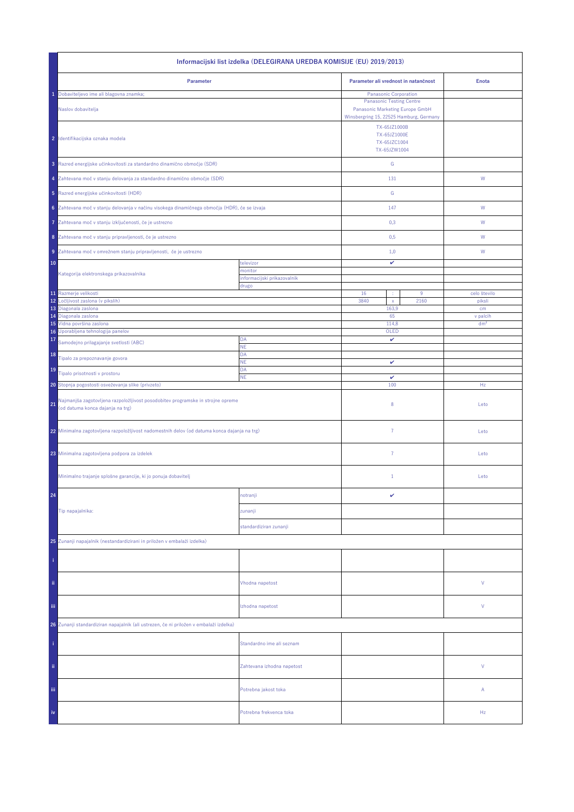| Informacijski list izdelka (DELEGIRANA UREDBA KOMISIJE (EU) 2019/2013)                                                    |                                         |                                                          |                 |  |  |  |
|---------------------------------------------------------------------------------------------------------------------------|-----------------------------------------|----------------------------------------------------------|-----------------|--|--|--|
| Parameter                                                                                                                 |                                         | Parameter ali vrednost in natančnost                     | <b>Enota</b>    |  |  |  |
| Dobaviteljevo ime ali blagovna znamka;                                                                                    |                                         | Panasonic Corporation<br><b>Panasonic Testing Centre</b> |                 |  |  |  |
| Naslov dobavitelja                                                                                                        | Winsbergring 15, 22525 Hamburg, Germany |                                                          |                 |  |  |  |
| 2 Identifikacijska oznaka modela                                                                                          |                                         |                                                          |                 |  |  |  |
| 3 Razred energijske učinkovitosti za standardno dinamično območje (SDR)                                                   |                                         | ${\mathbb G}$                                            |                 |  |  |  |
| 4 Zahtevana moč v stanju delovanja za standardno dinamično območje (SDR)                                                  |                                         | 131                                                      | W               |  |  |  |
| 5 Razred energijske učinkovitosti (HDR)                                                                                   |                                         | ${\mathbb G}$                                            |                 |  |  |  |
| 6 Zahtevana moč v stanju delovanja v načinu visokega dinamičnega območja (HDR), če se izvaja                              |                                         | 147                                                      | ${\sf W}$       |  |  |  |
| Zahtevana moč v stanju izključenosti, če je ustrezno<br>7                                                                 |                                         | 0,3                                                      | W               |  |  |  |
| 8 Zahtevana moč v stanju pripravljenosti, če je ustrezno                                                                  |                                         | 0,5                                                      | W               |  |  |  |
| 9 Zahtevana moč v omrežnem stanju pripravljenosti, če je ustrezno                                                         |                                         | 1,0                                                      | W               |  |  |  |
| 10                                                                                                                        | televizor                               | v                                                        |                 |  |  |  |
| Kategorija elektronskega prikazovalnika                                                                                   | monitor<br>informacijski prikazovalnik  |                                                          |                 |  |  |  |
|                                                                                                                           | drugo                                   |                                                          |                 |  |  |  |
| 11 Razmerje velikosti                                                                                                     |                                         | 16<br>$9\,$                                              | celo število    |  |  |  |
| 12<br>Ločljivost zaslona (v pikslih)<br>13 Diagonala zaslona                                                              |                                         | 3840<br>2160<br>$\mathsf X$<br>163,9                     | piksli<br>cm    |  |  |  |
| 14 Diagonala zaslona                                                                                                      |                                         | 65                                                       | v palcih        |  |  |  |
| 15 Vidna površina zaslona<br>16 Uporabljena tehnologija panelov                                                           |                                         | 114,8<br>OLED                                            | dm <sup>2</sup> |  |  |  |
| 17<br>Samodejno prilagajanje svetlosti (ABC)                                                                              | DA                                      | v                                                        |                 |  |  |  |
| 18                                                                                                                        | NE<br>DA                                |                                                          |                 |  |  |  |
| Tipalo za prepoznavanje govora                                                                                            | <b>NE</b>                               | v                                                        |                 |  |  |  |
| 19<br>Tipalo prisotnosti v prostoru                                                                                       | DA<br><b>NE</b>                         | $\checkmark$                                             |                 |  |  |  |
| 20 Stopnja pogostosti osveževanja slike (privzeto)                                                                        |                                         | 100                                                      | Hz              |  |  |  |
| Najmanjša zagotovljena razpoložljivost posodobitev programske in strojne opreme<br>21<br>(od datuma konca dajanja na trg) |                                         | 8                                                        | Leto            |  |  |  |
| 22 Minimalna zagotovljena razpoložljivost nadomestnih delov (od datuma konca dajanja na trg)                              |                                         | $\overline{7}$                                           | Leto            |  |  |  |
| 23 Minimalna zagotovljena podpora za izdelek                                                                              |                                         | $\overline{7}$                                           | Leto            |  |  |  |
| Minimalno trajanje splošne garancije, ki jo ponuja dobavitelj                                                             |                                         | $\mathbf{1}$                                             | Leto            |  |  |  |
| 24                                                                                                                        | notranji                                | v                                                        |                 |  |  |  |
| Tip napajalnika:                                                                                                          | zunanji                                 |                                                          |                 |  |  |  |
|                                                                                                                           | standardiziran zunanji                  |                                                          |                 |  |  |  |
| 25 Zunanji napajalnik (nestandardizirani in priložen v embalaži izdelka)                                                  |                                         |                                                          |                 |  |  |  |
|                                                                                                                           |                                         |                                                          |                 |  |  |  |
| ii.                                                                                                                       | Vhodna napetost                         |                                                          | ٧               |  |  |  |
|                                                                                                                           |                                         |                                                          | ٧               |  |  |  |
| Ϊij                                                                                                                       | Izhodna napetost                        |                                                          |                 |  |  |  |
| 26 Zunanji standardiziran napajalnik (ali ustrezen, če ni priložen v embalaži izdelka)                                    |                                         |                                                          |                 |  |  |  |
|                                                                                                                           | Standardno ime ali seznam               |                                                          |                 |  |  |  |
| ii.                                                                                                                       | Zahtevana izhodna napetost              |                                                          | V               |  |  |  |
| iii.                                                                                                                      | Potrebna jakost toka                    |                                                          | Α               |  |  |  |
| iv                                                                                                                        | Potrebna frekvenca toka                 |                                                          | Hz              |  |  |  |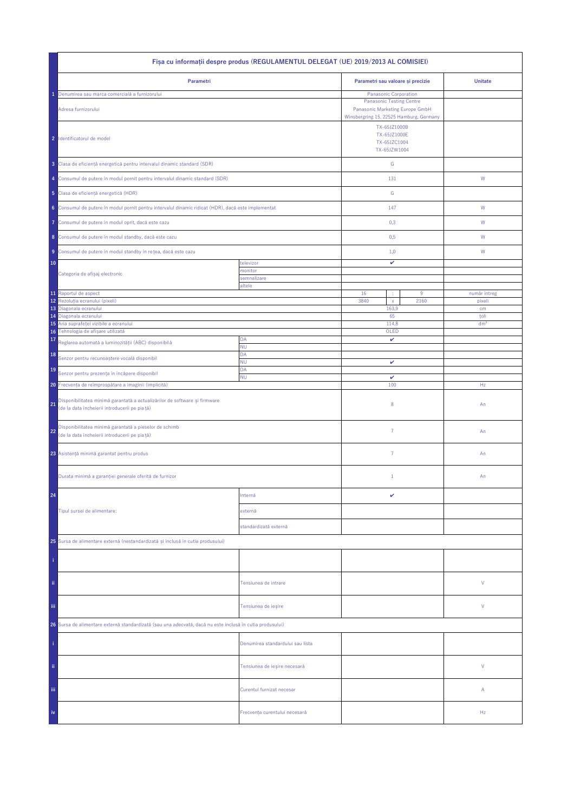| Fisa cu informații despre produs (REGULAMENTUL DELEGAT (UE) 2019/2013 AL COMISIEI)                                                |                                  |                                                                                                                                        |              |                 |  |
|-----------------------------------------------------------------------------------------------------------------------------------|----------------------------------|----------------------------------------------------------------------------------------------------------------------------------------|--------------|-----------------|--|
| Parametri                                                                                                                         |                                  | Parametri sau valoare și precizie                                                                                                      |              | <b>Unitate</b>  |  |
| Denumirea sau marca comercială a furnizorului<br>Adresa furnizorului                                                              |                                  | Panasonic Corporation<br><b>Panasonic Testing Centre</b><br>Panasonic Marketing Europe GmbH<br>Winsbergring 15, 22525 Hamburg, Germany |              |                 |  |
| 2 Identificatorul de model                                                                                                        |                                  | TX-65JZ1000B<br>TX-65JZ1000E<br>TX-65JZC1004<br>TX-65JZW1004                                                                           |              |                 |  |
| 3 Clasa de eficiență energetică pentru intervalul dinamic standard (SDR)                                                          |                                  | ${\mathsf G}$                                                                                                                          |              |                 |  |
| 4 Consumul de putere în modul pornit pentru intervalul dinamic standard (SDR)                                                     |                                  | 131                                                                                                                                    |              | W               |  |
| 5 Clasa de eficiență energetică (HDR)                                                                                             |                                  | G                                                                                                                                      |              |                 |  |
| 6 Consumul de putere în modul pornit pentru intervalul dinamic ridicat (HDR), dacă este implementat                               |                                  | 147                                                                                                                                    |              | W               |  |
| Consumul de putere în modul oprit, dacă este cazu<br>7                                                                            |                                  | 0,3                                                                                                                                    |              | W               |  |
| 8 Consumul de putere în modul standby, dacă este cazu                                                                             |                                  | 0,5                                                                                                                                    |              | W               |  |
| 9 Consumul de putere în modul standby în rețea, dacă este cazu                                                                    |                                  | 1,0                                                                                                                                    |              | W               |  |
| 10                                                                                                                                | televizor<br>monitor             | v                                                                                                                                      |              |                 |  |
| Categoria de afișaj electronic                                                                                                    | semnalizare<br>altele            |                                                                                                                                        |              |                 |  |
| 11 Raportul de aspect                                                                                                             |                                  | 16<br>÷                                                                                                                                | $9\,$        | număr întreg    |  |
| 12<br>Rezoluția ecranului (pixeli)                                                                                                |                                  | 3840<br>$\mathsf{x}$                                                                                                                   | 2160         | pixeli          |  |
| 13<br>Diagonala ecranului<br>Diagonala ecranului<br>14                                                                            |                                  | 163,9<br>65                                                                                                                            |              | cm<br>toli      |  |
| Aria suprafeței vizibile a ecranului<br>15                                                                                        |                                  | 114,8                                                                                                                                  |              | dm <sup>2</sup> |  |
| Tehnologia de afișare utilizată<br>16                                                                                             |                                  | OLED                                                                                                                                   |              |                 |  |
| 17<br>Reglarea automată a luminozității (ABC) disponibilă                                                                         | DA<br><b>NU</b>                  | v                                                                                                                                      |              |                 |  |
| 18<br>Senzor pentru recunoaștere vocală disponibil                                                                                | DA<br>ΝU                         | v                                                                                                                                      |              |                 |  |
| 19<br>Senzor pentru prezența în încăpere disponibil                                                                               | DA<br><b>NU</b>                  |                                                                                                                                        | $\checkmark$ |                 |  |
| 20 Frecvența de reîmprospătare a imaginii (implicită)                                                                             |                                  | 100                                                                                                                                    |              | Hz              |  |
| Disponibilitatea minimă garantată a actualizărilor de software și firmware<br>21<br>(de la data încheierii introducerii pe piață) |                                  | 8                                                                                                                                      |              | An              |  |
| Disponibilitatea minimă garantată a pieselor de schimb<br>22<br>(de la data încheierii introducerii pe piață)                     |                                  | $\overline{7}$                                                                                                                         |              | An              |  |
| 23 Asistență minimă garantat pentru produs                                                                                        |                                  | $\overline{7}$                                                                                                                         |              | An              |  |
| Durata minimă a garanției generale oferită de furnizor                                                                            |                                  | $1\,$                                                                                                                                  |              | An              |  |
| 24                                                                                                                                | Internă                          | v                                                                                                                                      |              |                 |  |
| Tipul sursei de alimentare:                                                                                                       | externă                          |                                                                                                                                        |              |                 |  |
|                                                                                                                                   | standardizată externă            |                                                                                                                                        |              |                 |  |
| 25 Sursa de alimentare externă (nestandardizată și inclusă în cutia produsului)                                                   |                                  |                                                                                                                                        |              |                 |  |
|                                                                                                                                   |                                  |                                                                                                                                        |              |                 |  |
| ii.                                                                                                                               | Tensiunea de intrare             |                                                                                                                                        |              | ٧               |  |
| Ϊij                                                                                                                               | Tensiunea de ieșire              |                                                                                                                                        |              | ٧               |  |
| 26 Sursa de alimentare externă standardizată (sau una adecvată, dacă nu este inclusă în cutia produsului)                         |                                  |                                                                                                                                        |              |                 |  |
|                                                                                                                                   | Denumirea standardului sau lista |                                                                                                                                        |              |                 |  |
| ii.                                                                                                                               | Tensiunea de ieșire necesară     |                                                                                                                                        |              | V               |  |
| Ϊij                                                                                                                               | Curentul furnizat necesar        |                                                                                                                                        |              | Α               |  |
| iv                                                                                                                                | Frecvența curentului necesară    |                                                                                                                                        |              | Hz              |  |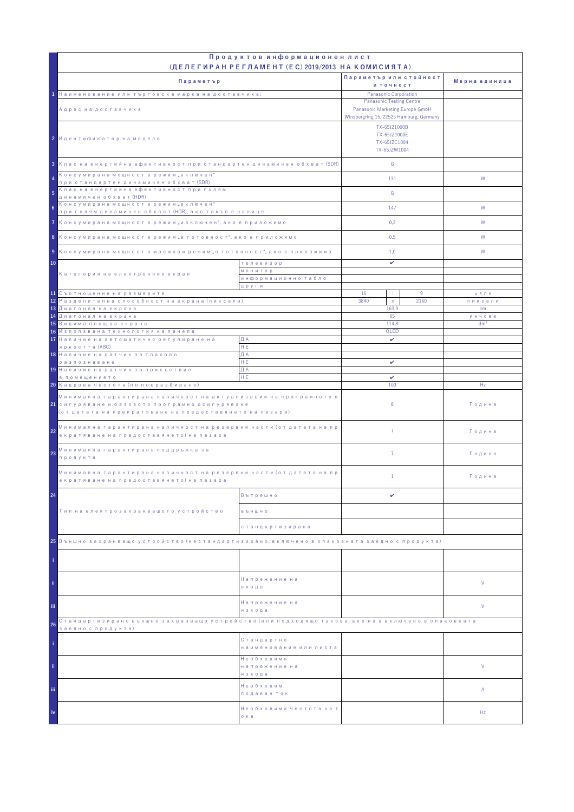|                                                                                                                                                                                            | Продуктов информационен лист                                                                                  |                                                              |                 |                 |
|--------------------------------------------------------------------------------------------------------------------------------------------------------------------------------------------|---------------------------------------------------------------------------------------------------------------|--------------------------------------------------------------|-----------------|-----------------|
|                                                                                                                                                                                            | (ДЕЛЕГИРАН РЕГЛАМЕНТ (EC) 2019/2013 НА КОМИСИЯТА)                                                             | Параметър или стойност                                       |                 |                 |
| Параметър                                                                                                                                                                                  |                                                                                                               | и точност                                                    |                 | Мерна единица   |
| 1 Наименование или търговска марка на доставчика;                                                                                                                                          |                                                                                                               | Panasonic Corporation                                        |                 |                 |
| Адрес на доставчика                                                                                                                                                                        | <b>Panasonic Testing Centre</b><br>Panasonic Marketing Europe GmbH<br>Winsbergring 15, 22525 Hamburg, Germany |                                                              |                 |                 |
| 2 Идентификатор на модела                                                                                                                                                                  |                                                                                                               | TX-65JZ1000B<br>TX-65JZ1000E<br>TX-65JZC1004<br>TX-65JZW1004 |                 |                 |
| 3 Клас на енергийна ефективност при стандартен динамичен обхват (SDR)                                                                                                                      |                                                                                                               | G                                                            |                 |                 |
| Консумирана мощност в режим "включен"<br>при стандартен динамичен обхват (SDR)<br>Клас на енергийна ефективност при голям                                                                  |                                                                                                               | 131                                                          |                 | W               |
| 5<br>динамичен обхват (HDR)<br>Консумирана мощност в режим "включен"                                                                                                                       |                                                                                                               | G                                                            |                 |                 |
| $6^{\circ}$<br>при голям динамичен обхват (HDR), ако такъв е налице                                                                                                                        |                                                                                                               | 147                                                          |                 | W               |
| 7 Консумирана мощност в режим "изключен", ако е приложимо                                                                                                                                  |                                                                                                               | 0,3                                                          |                 | W               |
| 8 Консумирана мощност в режим "в готовност", ако е приложимо                                                                                                                               |                                                                                                               | 0,5                                                          |                 | W               |
| 9 Консумирана мощност в мрежови режим "в готовност", ако е приложимо                                                                                                                       |                                                                                                               | 1,0                                                          |                 | W               |
| 10<br>телевизор                                                                                                                                                                            |                                                                                                               | v                                                            |                 |                 |
| Категория на електронния екран                                                                                                                                                             | <b>МОНИТОР</b><br>информационно табло                                                                         |                                                              |                 |                 |
|                                                                                                                                                                                            | други                                                                                                         |                                                              |                 |                 |
| 11 Съотношение на размерите<br><mark>12</mark> Разделителна способност на екрана (пиксели)                                                                                                 |                                                                                                               | 16<br>÷<br>3840<br>$\mathsf X$                               | 9<br>2160       | цяло<br>пиксели |
| 13 Диагонал на екрана                                                                                                                                                                      |                                                                                                               | 163.9                                                        |                 | cm              |
| <mark>14 Диагонал на екрана</mark><br>65                                                                                                                                                   |                                                                                                               |                                                              |                 | инчове          |
| <mark>15</mark> Видима площ на екрана<br>16 Използвана технология на панела                                                                                                                |                                                                                                               | 114,8<br>OLED                                                | dm <sup>2</sup> |                 |
| 17 Наличие на автоматично регулиране на                                                                                                                                                    | ДА                                                                                                            | $\checkmark$                                                 |                 |                 |
| яркостта (ABC)                                                                                                                                                                             | HE.                                                                                                           |                                                              |                 |                 |
| 18 Наличие на датчик за гласово<br>разпознаване                                                                                                                                            | ДА<br>HE.                                                                                                     | v                                                            |                 |                 |
| 19 Наличие на датчик за присъствие                                                                                                                                                         | ДА                                                                                                            |                                                              |                 |                 |
| в помещението                                                                                                                                                                              | HE                                                                                                            | v                                                            |                 |                 |
| 20 Кадрова честота (по подразбиране)                                                                                                                                                       |                                                                                                               | 100                                                          |                 | Hz              |
| Минимална гарантирана наличност на актуализации на програмното о<br><mark>21</mark> сигуряване и базовото програмно осигуряване<br>(от датата на прекратяване на предоставянето на пазара) |                                                                                                               | 8                                                            |                 | Година          |
| Минимална гарантирана наличност на резервни части (от датата на пр<br>22<br>екратяване на предоставянето) на пазара                                                                        |                                                                                                               | $\overline{7}$                                               |                 | Година          |
| Минимална гарантирана поддръжка за<br>23<br>продукта                                                                                                                                       |                                                                                                               | $\overline{7}$                                               |                 | Година          |
| Минимална гарантирана наличност на резервни части (от датата на пр<br>екратяване на предоставянето) на пазара                                                                              |                                                                                                               | $\mathbf{1}$                                                 |                 | Година          |
| 24                                                                                                                                                                                         | Вътрешно                                                                                                      | v                                                            |                 |                 |
| Тип на електрозахранващото устройство                                                                                                                                                      | <b>B Ъ Н Ш Н О</b>                                                                                            |                                                              |                 |                 |
|                                                                                                                                                                                            | стандартизирано                                                                                               |                                                              |                 |                 |
| 25 Външно захранващо устройство (нестандартизирано, включено в опаковката заедно с продукта)                                                                                               |                                                                                                               |                                                              |                 |                 |
|                                                                                                                                                                                            |                                                                                                               |                                                              |                 |                 |
| ii.                                                                                                                                                                                        | Напрежение на<br>входа                                                                                        |                                                              |                 | V               |
| iii.                                                                                                                                                                                       | Напрежение на<br>изхода                                                                                       |                                                              |                 | V               |
| Стандартизирано външно захранващо устройство (или подходящо такова, ако не е включено в опаковката<br>26                                                                                   |                                                                                                               |                                                              |                 |                 |
| заедно с продукта)                                                                                                                                                                         | Стандартно<br>наименование или листа                                                                          |                                                              |                 |                 |
| ii.                                                                                                                                                                                        | Необходимо<br>напрежение на                                                                                   |                                                              |                 | V               |
| iii.                                                                                                                                                                                       | изхода<br>Необходим<br>подаван ток                                                                            |                                                              |                 | Α               |
| iv                                                                                                                                                                                         | Необходима честота на т<br>о ка                                                                               |                                                              |                 | Hz              |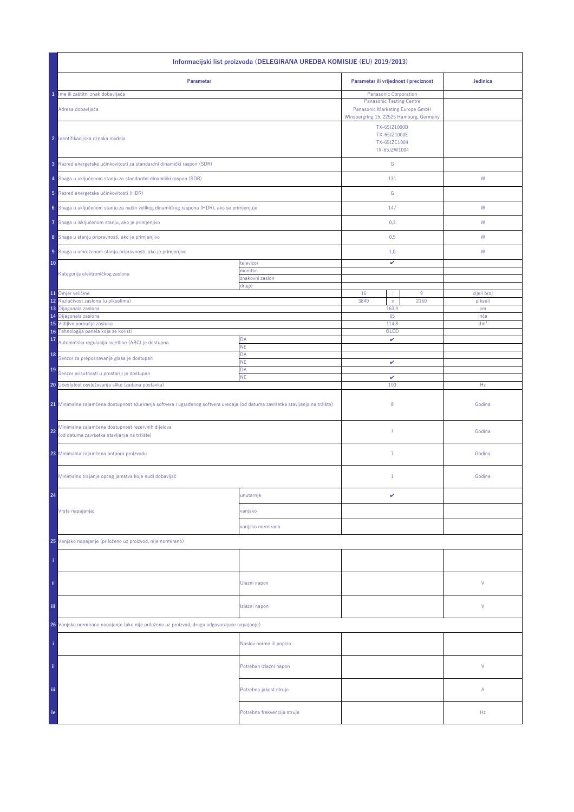| Informacijski list proizvoda (DELEGIRANA UREDBA KOMISIJE (EU) 2019/2013)                                                       |                             |                                              |                                                                                                                               |                         |  |
|--------------------------------------------------------------------------------------------------------------------------------|-----------------------------|----------------------------------------------|-------------------------------------------------------------------------------------------------------------------------------|-------------------------|--|
| Parametar                                                                                                                      |                             | Parametar ili vrijednost i preciznost        |                                                                                                                               | Jedinica                |  |
| Ime ili zaštitni znak dobavljača<br>1                                                                                          |                             | Panasonic Corporation                        |                                                                                                                               |                         |  |
| Adresa dobavljača                                                                                                              |                             |                                              | <b>Panasonic Testing Centre</b><br>Panasonic Marketing Europe GmbH<br>Winsbergring 15, 22525 Hamburg, Germany<br>TX-65JZ1000B |                         |  |
| 2 Identifikacijska oznaka modela                                                                                               |                             | TX-65JZ1000E<br>TX-65JZC1004<br>TX-65JZW1004 |                                                                                                                               |                         |  |
| 3 Razred energetske učinkovitosti za standardni dinamički raspon (SDR)                                                         |                             | ${\mathbb G}$                                |                                                                                                                               |                         |  |
| 4 Snaga u uključenom stanju za standardni dinamički raspon (SDR)                                                               |                             | 131                                          |                                                                                                                               | W                       |  |
| 5 Razred energetske učinkovitosti (HDR)                                                                                        |                             | ${\mathbb G}$                                |                                                                                                                               |                         |  |
| 6 Snaga u uključenom stanju za način velikog dinamičkog raspona (HDR), ako se primjenjuje                                      |                             | 147                                          |                                                                                                                               | ${\mathsf W}$           |  |
| Snaga u isključenom stanju, ako je primjenjivo<br>7                                                                            |                             | 0,3                                          |                                                                                                                               | W                       |  |
| 8 Snaga u stanju pripravnosti, ako je primjenjivo                                                                              |                             | 0,5                                          |                                                                                                                               | W                       |  |
| 9 Snaga u umreženom stanju pripravnosti, ako je primjenjivo                                                                    |                             | 1,0                                          |                                                                                                                               | W                       |  |
| 10<br>Kategorija elektroničkog zaslona                                                                                         | televizor<br>monitor        | v                                            |                                                                                                                               |                         |  |
|                                                                                                                                | znakovni zaslon             |                                              |                                                                                                                               |                         |  |
| 11 Omjer veličine                                                                                                              | drugo                       | 16                                           | $9\,$                                                                                                                         | cijeli broj             |  |
| Razlučivost zaslona (u pikselima)<br>12                                                                                        |                             | 3840<br>$\mathsf X$                          | 2160                                                                                                                          | pikseli                 |  |
| 13<br>Dijagonala zaslona                                                                                                       |                             | 163,9                                        |                                                                                                                               | cm                      |  |
| 14 Dijagonala zaslona<br>15 Vidljivo područje zaslona                                                                          |                             | 65<br>114,8                                  |                                                                                                                               | inča<br>dm <sup>2</sup> |  |
| 16 Tehnologija panela koja se koristi                                                                                          |                             | OLED                                         |                                                                                                                               |                         |  |
| 17<br>Automatska regulacija svjetline (ABC) je dostupna                                                                        | DA<br>NE                    | v                                            |                                                                                                                               |                         |  |
| 18<br>Senzor za prepoznavanje glasa je dostupan                                                                                | DA<br><b>NE</b>             | v                                            |                                                                                                                               |                         |  |
| 19<br>Senzor prisutnosti u prostoriji je dostupan                                                                              | DA<br>ΝE                    | $\checkmark$                                 |                                                                                                                               |                         |  |
| 20 Učestalost osvježavanja slike (zadana postavka)                                                                             |                             | 100                                          |                                                                                                                               | Hz                      |  |
| 21 Minimalna zajamčena dostupnost ažuriranja softvera i ugrađenog softvera uređaja (od datuma završetka stavljanja na tržište) |                             | 8                                            |                                                                                                                               | Godina                  |  |
| Minimalna zajamčena dostupnost rezervnih dijelova<br>22<br>(od datuma završetka stavljanja na tržište)                         |                             | $\overline{7}$                               |                                                                                                                               | Godina                  |  |
| 23 Minimalna zajamčena potpora proizvodu                                                                                       |                             | 7                                            |                                                                                                                               | Godina                  |  |
| Minimalno trajanje općeg jamstva koje nudi dobavljač                                                                           |                             | $\mathbf{1}$                                 |                                                                                                                               | Godina                  |  |
| 24                                                                                                                             | unutarnje                   | v                                            |                                                                                                                               |                         |  |
| Vrsta napajanja:                                                                                                               | vanjsko                     |                                              |                                                                                                                               |                         |  |
|                                                                                                                                | vanjsko normirano           |                                              |                                                                                                                               |                         |  |
| 25 Vanjsko napajanje (priloženo uz proizvod, nije normirano)                                                                   |                             |                                              |                                                                                                                               |                         |  |
|                                                                                                                                |                             |                                              |                                                                                                                               |                         |  |
| ii.                                                                                                                            | Ulazni napon                |                                              |                                                                                                                               | V                       |  |
| Ϊij                                                                                                                            | Izlazni napon               |                                              |                                                                                                                               | V                       |  |
| 26 Vanjsko normirano napajanje (ako nije priloženo uz proizvod, drugo odgovarajuće napajanje)                                  |                             |                                              |                                                                                                                               |                         |  |
|                                                                                                                                | Naslov norme ili popisa     |                                              |                                                                                                                               |                         |  |
| ii.                                                                                                                            | Potreban izlazni napon      |                                              |                                                                                                                               | V                       |  |
| iii,                                                                                                                           | Potrebna jakost struje      |                                              |                                                                                                                               | А                       |  |
| iv                                                                                                                             | Potrebna frekvencija struje |                                              |                                                                                                                               | Hz                      |  |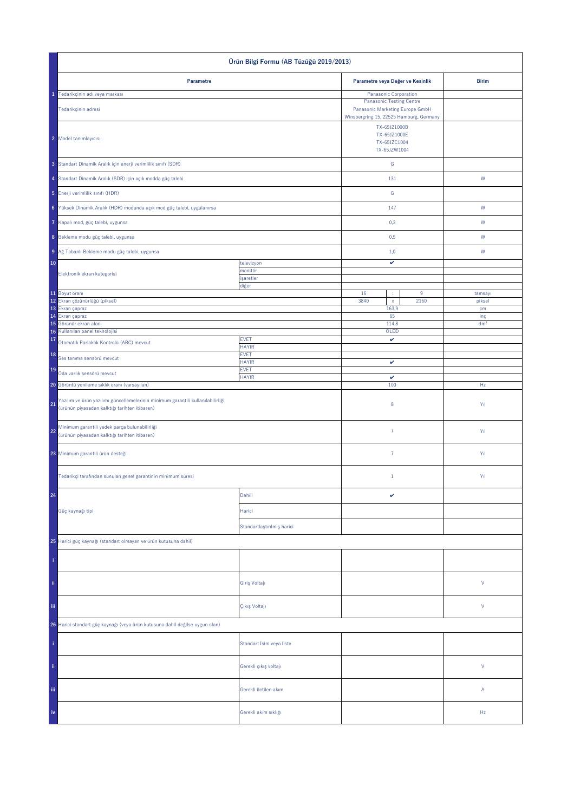| Ürün Bilgi Formu (AB Tüzüğü 2019/2013)                                                                                                 |                             |                                                                                                                                               |                  |                        |
|----------------------------------------------------------------------------------------------------------------------------------------|-----------------------------|-----------------------------------------------------------------------------------------------------------------------------------------------|------------------|------------------------|
| Parametre                                                                                                                              |                             | Parametre veya Değer ve Kesinlik                                                                                                              |                  | <b>Birim</b>           |
| 1 Tedarikçinin adı veya markası                                                                                                        |                             | Panasonic Corporation                                                                                                                         |                  |                        |
| Tedarikçinin adresi                                                                                                                    |                             | <b>Panasonic Testing Centre</b><br>Panasonic Marketing Europe GmbH<br>Winsbergring 15, 22525 Hamburg, Germany<br>TX-65JZ1000B<br>TX-65JZ1000E |                  |                        |
| 2 Model tanımlayıcısı                                                                                                                  |                             | TX-65JZC1004<br>TX-65JZW1004                                                                                                                  |                  |                        |
| 3 Standart Dinamik Aralık için enerji verimlilik sınıfı (SDR)                                                                          |                             | G                                                                                                                                             |                  |                        |
| 4 Standart Dinamik Aralık (SDR) için açık modda güç talebi                                                                             |                             | 131                                                                                                                                           |                  | ${\sf W}$              |
| 5 Enerji verimlilik sınıfı (HDR)                                                                                                       |                             | ${\mathbb G}$                                                                                                                                 |                  |                        |
| 6 Yüksek Dinamik Aralık (HDR) modunda açık mod güç talebi, uygulanırsa                                                                 |                             | 147                                                                                                                                           |                  | W                      |
| Kapalı mod, güç talebi, uygunsa                                                                                                        |                             | 0,3                                                                                                                                           |                  | W                      |
| 8 Bekleme modu güç talebi, uygunsa                                                                                                     |                             | 0,5                                                                                                                                           |                  | W                      |
| 9 Ağ Tabanlı Bekleme modu güç talebi, uygunsa                                                                                          |                             | 1,0                                                                                                                                           |                  | W                      |
| 10                                                                                                                                     | televizyon                  | v                                                                                                                                             |                  |                        |
| Elektronik ekran kategorisi                                                                                                            | monitör<br>işaretler        |                                                                                                                                               |                  |                        |
| 11 Boyut oranı                                                                                                                         | diğer                       | 16<br>÷                                                                                                                                       | $\boldsymbol{9}$ | tamsayı                |
| 12 Ekran çözünürlüğü (piksel)                                                                                                          |                             | 3840<br>$\mathsf{x}$                                                                                                                          | 2160             | piksel                 |
| 13 Ekran çapraz                                                                                                                        |                             | 163,9                                                                                                                                         |                  | cm                     |
| 14 Ekran çapraz<br>Görünür ekran alanı<br>15                                                                                           |                             | 65<br>114,8                                                                                                                                   |                  | inç<br>dm <sup>2</sup> |
| Kullanılan panel teknolojisi<br>16                                                                                                     |                             | OLED                                                                                                                                          |                  |                        |
| 17<br>Otomatik Parlaklık Kontrolü (ABC) mevcut                                                                                         | <b>EVET</b><br><b>HAYIR</b> | $\checkmark$                                                                                                                                  |                  |                        |
| 18<br>Ses tanıma sensörü mevcut                                                                                                        | <b>EVET</b><br><b>HAYIR</b> | $\checkmark$                                                                                                                                  |                  |                        |
| 19<br>Oda varlık sensörü mevcut                                                                                                        | <b>EVET</b><br><b>HAYIR</b> | v                                                                                                                                             |                  |                        |
| 20 Görüntü yenileme sıklık oranı (varsayılan)                                                                                          |                             | 100                                                                                                                                           |                  | Hz                     |
| Yazılım ve ürün yazılımı güncellemelerinin minimum garantili kullanılabilirliği<br>21<br>(ürünün piyasadan kalktığı tarihten itibaren) |                             | $\bf 8$                                                                                                                                       |                  | Yıl                    |
| Minimum garantili yedek parça bulunabilirliği<br>22<br>(ürünün piyasadan kalktığı tarihten itibaren)                                   |                             | $\bf 7$                                                                                                                                       |                  | Yıl                    |
| 23 Minimum garantili ürün desteği                                                                                                      |                             | $\bf 7$                                                                                                                                       |                  | Yıl                    |
| Tedarikçi tarafından sunulan genel garantinin minimum süresi                                                                           |                             | $1\,$                                                                                                                                         |                  | Yıl                    |
| 24                                                                                                                                     | Dahili                      | $\checkmark$                                                                                                                                  |                  |                        |
| Güç kaynağı tipi                                                                                                                       | Harici                      |                                                                                                                                               |                  |                        |
|                                                                                                                                        | Standartlaştırılmış harici  |                                                                                                                                               |                  |                        |
| 25 Harici güç kaynağı (standart olmayan ve ürün kutusuna dahil)                                                                        |                             |                                                                                                                                               |                  |                        |
|                                                                                                                                        |                             |                                                                                                                                               |                  |                        |
| ii.                                                                                                                                    | Giriş Voltajı               |                                                                                                                                               |                  | $\mathsf{V}$           |
| iii.                                                                                                                                   | Çıkış Voltajı               |                                                                                                                                               |                  | $\mathsf{V}$           |
| 26 Harici standart güç kaynağı (veya ürün kutusuna dahil değilse uygun olan)                                                           |                             |                                                                                                                                               |                  |                        |
|                                                                                                                                        | Standart İsim veya liste    |                                                                                                                                               |                  |                        |
| ii.                                                                                                                                    | Gerekli çıkış voltajı       |                                                                                                                                               |                  | $\mathsf{V}$           |
| Ϊij                                                                                                                                    | Gerekli iletilen akım       |                                                                                                                                               |                  | Α                      |
|                                                                                                                                        | Gerekli akım sıklığı        |                                                                                                                                               |                  | Hz                     |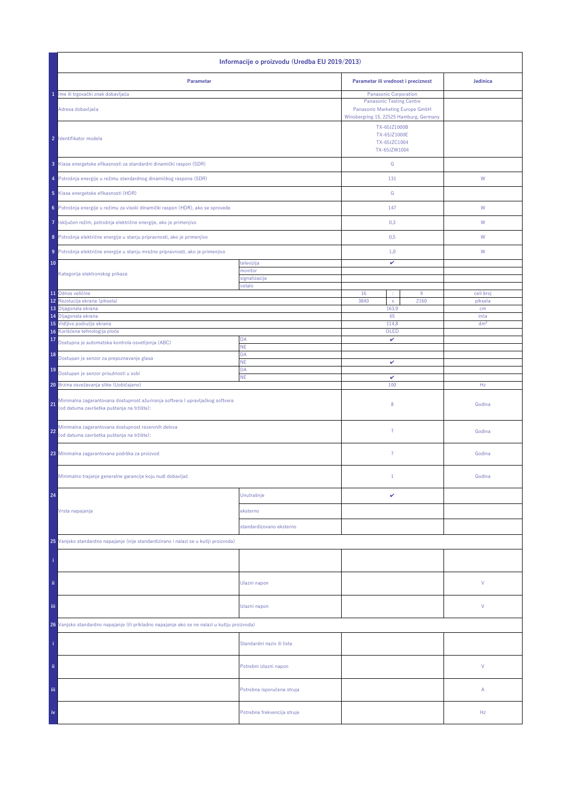| Informacije o proizvodu (Uredba EU 2019/2013)                                                                                      |                                         |                                                              |                         |  |  |
|------------------------------------------------------------------------------------------------------------------------------------|-----------------------------------------|--------------------------------------------------------------|-------------------------|--|--|
| Parametar                                                                                                                          | Parametar ili vrednost i preciznost     | Jedinica                                                     |                         |  |  |
| 1 Ime ili trgovački znak dobavljača                                                                                                |                                         | Panasonic Corporation                                        |                         |  |  |
| Adresa dobavljača                                                                                                                  | Winsbergring 15, 22525 Hamburg, Germany |                                                              |                         |  |  |
| 2 Identifikator modela                                                                                                             |                                         | TX-65JZ1000B<br>TX-65JZ1000E<br>TX-65JZC1004<br>TX-65JZW1004 |                         |  |  |
| 3 Klasa energetske efikasnosti za standardni dinamički raspon (SDR)                                                                |                                         | G                                                            |                         |  |  |
| 4 Potrošnja energije u režimu standardnog dinamičkog raspona (SDR)                                                                 |                                         | 131                                                          | W                       |  |  |
| 5 Klasa energetske efikasnosti (HDR)                                                                                               |                                         | G                                                            |                         |  |  |
| Potrošnja energije u režimu za visoki dinamički raspon (HDR), ako se sprovede<br>6                                                 |                                         | 147                                                          | W                       |  |  |
| Isključen režim, potrošnja električne energije, ako je primenjivo<br>7                                                             |                                         | 0,3                                                          | W                       |  |  |
| 8 Potrošnja električne energije u stanju pripravnosti, ako je primenjivo                                                           |                                         | 0,5                                                          | W                       |  |  |
| Potrošnja električne energije u stanju mrežne pripravnosti, ako je primenjivo<br>9                                                 |                                         | 1,0                                                          | W                       |  |  |
| 10                                                                                                                                 | televizija                              | v                                                            |                         |  |  |
| Kategorija elektronskog prikaza                                                                                                    | nonitor<br>signalizacija                |                                                              |                         |  |  |
|                                                                                                                                    | ostalo                                  |                                                              |                         |  |  |
| 11 Odnos veličine<br>Rezolucija ekrana (piksela)<br>12                                                                             |                                         | 16<br>9<br>÷<br>3840<br>2160<br>$\mathsf X$                  | celi broj<br>piksela    |  |  |
| 13 Dijagonala ekrana                                                                                                               |                                         | 163,9                                                        | cm                      |  |  |
| 14 Dijagonala ekrana<br>15 Vidljivo područje ekrana                                                                                |                                         | 65<br>114,8                                                  | inča<br>dm <sup>2</sup> |  |  |
| 16 Korišćena tehnologija ploče                                                                                                     |                                         | OLED                                                         |                         |  |  |
| 17<br>Dostupna je automatska kontrola osvetljenja (ABC)                                                                            | DA<br><b>NE</b>                         | v                                                            |                         |  |  |
| 18<br>Dostupan je senzor za prepoznavanje glasa                                                                                    | DA<br>NE                                | $\checkmark$                                                 |                         |  |  |
| 19<br>Dostupan je senzor prisutnosti u sobi                                                                                        | DA<br><b>NE</b>                         | v                                                            |                         |  |  |
| 20 Brzina osvežavanja slike (Uobičajeno)                                                                                           |                                         | 100                                                          | Hz                      |  |  |
| Minimalna zagarantovana dostupnost ažuriranja softvera I upravljačkog softvera<br>21<br>(od datuma završetka puštanja na tržište): |                                         | 8                                                            | Godina                  |  |  |
| Minimalna zagarantovana dostupnost rezervnih delova<br>22<br>(od datuma završetka puštanja na tržište):                            |                                         | $\overline{7}$                                               | Godina                  |  |  |
| 23 Minimalna zagarantovana podrška za proizvod                                                                                     |                                         | $\overline{7}$                                               | Godina                  |  |  |
| Minimalno trajanje generalne garancije koju nudi dobavljač                                                                         |                                         | $1\,$                                                        | Godina                  |  |  |
| 24                                                                                                                                 | Unutrašnje                              | v                                                            |                         |  |  |
| Vrsta napajanja                                                                                                                    | eksterno                                |                                                              |                         |  |  |
|                                                                                                                                    | standardizovano eksterno                |                                                              |                         |  |  |
| 25 Vanjsko standardno napajanje (nije standardizirano i nalazi se u kutiji proizvoda)                                              |                                         |                                                              |                         |  |  |
|                                                                                                                                    |                                         |                                                              |                         |  |  |
| ii.                                                                                                                                | Ulazni napon                            |                                                              | V                       |  |  |
| iii.                                                                                                                               | Izlazni napon                           |                                                              | V                       |  |  |
| 26 Vanjsko standardno napajanje (ili prikladno napajanje ako se ne nalazi u kutiju proizvoda)                                      |                                         |                                                              |                         |  |  |
|                                                                                                                                    | Standardni naziv ili lista              |                                                              |                         |  |  |
| ii.                                                                                                                                | Potrebni izlazni napon                  |                                                              | V                       |  |  |
| Ϊij                                                                                                                                | Potrebna isporučena struja              |                                                              | А                       |  |  |
| iv                                                                                                                                 | Potrebna frekvencija struje             |                                                              | Hz                      |  |  |